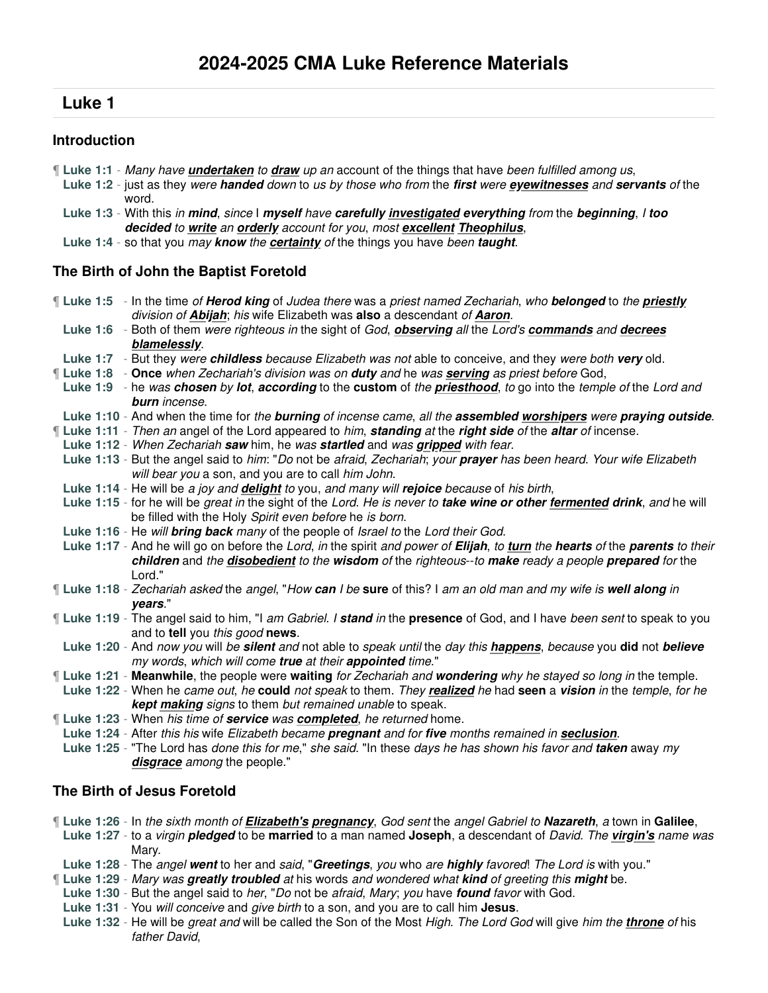# **Luke 1**

## **Introduction**

- ¶ **Luke 1:1** Many have **undertaken** to **draw** up an account of the things that have been fulfilled among us,
	- **Luke 1:2** just as they were **handed** down to us by those who from the **first** were **eyewitnesses** and **servants** of the word.
	- **Luke 1:3** With this in **mind**, since I **myself** have **carefully investigated everything** from the **beginning**, I **too decided** to **write** an **orderly** account for you, most **excellent Theophilus**,
- **Luke 1:4** so that you may **know** the **certainty** of the things you have been **taught**.

# **The Birth of John the Baptist Foretold**

¶ **Luke 1:5** - In the time of **Herod king** of Judea there was a priest named Zechariah, who **belonged** to the **priestly** division of **Abijah**; his wife Elizabeth was **also** a descendant of **Aaron**.

**Luke 1:6** - Both of them were righteous in the sight of God, **observing** all the Lord's **commands** and **decrees blamelessly**.

- **Luke 1:7** But they were **childless** because Elizabeth was not able to conceive, and they were both **very** old.
- ¶ **Luke 1:8 Once** when Zechariah's division was on **duty** and he was **serving** as priest before God,
- **Luke 1:9** he was **chosen** by **lot**, **according** to the **custom** of the **priesthood**, to go into the temple of the Lord and **burn** incense.
- **Luke 1:10** And when the time for the **burning** of incense came, all the **assembled worshipers** were **praying outside**.
- ¶ **Luke 1:11** Then an angel of the Lord appeared to him, **standing** at the **right side** of the **altar** of incense.
- **Luke 1:12** When Zechariah **saw** him, he was **startled** and was **gripped** with fear.
- **Luke 1:13** But the angel said to him: "Do not be afraid, Zechariah; your **prayer** has been heard. Your wife Elizabeth will bear you a son, and you are to call him John.
- **Luke 1:14** He will be a joy and **delight** to you, and many will **rejoice** because of his birth,
- **Luke 1:15** for he will be great in the sight of the Lord. He is never to **take wine or other fermented drink**, and he will be filled with the Holy Spirit even before he is born.
- **Luke 1:16** He will **bring back** many of the people of Israel to the Lord their God.
- **Luke 1:17** And he will go on before the Lord, in the spirit and power of **Elijah**, to **turn** the **hearts** of the **parents** to their **children** and the **disobedient** to the **wisdom** of the righteous--to **make** ready a people **prepared** for the Lord."
- ¶ **Luke 1:18** Zechariah asked the angel, "How **can** I be **sure** of this? I am an old man and my wife is **well along** in **years**."

¶ **Luke 1:19** - The angel said to him, "I am Gabriel. I **stand** in the **presence** of God, and I have been sent to speak to you and to **tell** you this good **news**.

**Luke 1:20** - And now you will be **silent** and not able to speak until the day this **happens**, because you **did** not **believe** my words, which will come **true** at their **appointed** time."

- ¶ **Luke 1:21 Meanwhile**, the people were **waiting** for Zechariah and **wondering** why he stayed so long in the temple.
- **Luke 1:22** When he came out, he **could** not speak to them. They **realized** he had **seen** a **vision** in the temple, for he **kept making** signs to them but remained unable to speak.
- ¶ **Luke 1:23** When his time of **service** was **completed**, he returned home.
- **Luke 1:24** After this his wife Elizabeth became **pregnant** and for **five** months remained in **seclusion**.
- **Luke 1:25** "The Lord has done this for me," she said. "In these days he has shown his favor and **taken** away my **disgrace** among the people."

# **The Birth of Jesus Foretold**

- ¶ **Luke 1:26** In the sixth month of **Elizabeth's pregnancy**, God sent the angel Gabriel to **Nazareth**, a town in **Galilee**,
- **Luke 1:27** to a virgin **pledged** to be **married** to a man named **Joseph**, a descendant of David. The **virgin's** name was Mary.
- **Luke 1:28** The angel **went** to her and said, "**Greetings**, you who are **highly** favored! The Lord is with you."
- ¶ **Luke 1:29** Mary was **greatly troubled** at his words and wondered what **kind** of greeting this **might** be.
- **Luke 1:30** But the angel said to her, "Do not be afraid, Mary; you have **found** favor with God.
- **Luke 1:31** You will conceive and give birth to a son, and you are to call him **Jesus**.
- **Luke 1:32** He will be great and will be called the Son of the Most High. The Lord God will give him the **throne** of his father David,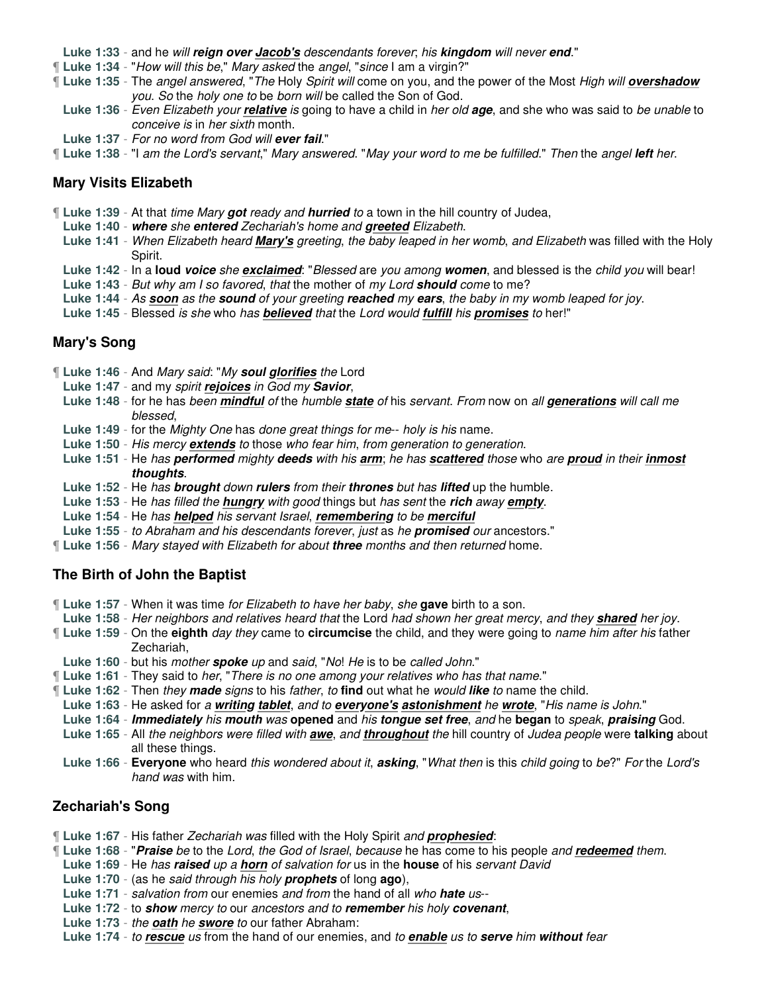**Luke 1:33** - and he will **reign over Jacob's** descendants forever; his **kingdom** will never **end**."

- ¶ **Luke 1:34** "How will this be," Mary asked the angel, "since I am a virgin?"
- ¶ **Luke 1:35** The angel answered, "The Holy Spirit will come on you, and the power of the Most High will **overshadow** you. So the holy one to be born will be called the Son of God.
- **Luke 1:36** Even Elizabeth your **relative** is going to have a child in her old **age**, and she who was said to be unable to conceive is in her sixth month.
- **Luke 1:37** For no word from God will **ever fail**."
- ¶ **Luke 1:38** "I am the Lord's servant," Mary answered. "May your word to me be fulfilled." Then the angel **left** her.

### **Mary Visits Elizabeth**

- ¶ **Luke 1:39** At that time Mary **got** ready and **hurried** to a town in the hill country of Judea,
	- **Luke 1:40 where** she **entered** Zechariah's home and **greeted** Elizabeth.
	- **Luke 1:41** When Elizabeth heard **Mary's** greeting, the baby leaped in her womb, and Elizabeth was filled with the Holy Spirit.
	- **Luke 1:42** In a **loud voice** she **exclaimed**: "Blessed are you among **women**, and blessed is the child you will bear!
	- **Luke 1:43** But why am I so favored, that the mother of my Lord **should** come to me?
	- **Luke 1:44** As **soon** as the **sound** of your greeting **reached** my **ears**, the baby in my womb leaped for joy.
	- **Luke 1:45** Blessed is she who has **believed** that the Lord would **fulfill** his **promises** to her!"

### **Mary's Song**

- ¶ **Luke 1:46** And Mary said: "My **soul glorifies** the Lord
	- **Luke 1:47** and my spirit **rejoices** in God my **Savior**,
	- **Luke 1:48** for he has been **mindful** of the humble **state** of his servant. From now on all **generations** will call me blessed,
	- **Luke 1:49** for the Mighty One has done great things for me-- holy is his name.
	- Luke 1:50 His mercy **extends** to those who fear him, from generation to generation.
	- **Luke 1:51** He has **performed** mighty **deeds** with his **arm**; he has **scattered** those who are **proud** in their **inmost thoughts**.
	- **Luke 1:52** He has **brought** down **rulers** from their **thrones** but has **lifted** up the humble.
	- **Luke 1:53** He has filled the **hungry** with good things but has sent the **rich** away **empty**.
	- **Luke 1:54** He has **helped** his servant Israel, **remembering** to be **merciful**
- **Luke 1:55** to Abraham and his descendants forever, just as he **promised** our ancestors."
- ¶ **Luke 1:56** Mary stayed with Elizabeth for about **three** months and then returned home.

### **The Birth of John the Baptist**

- ¶ **Luke 1:57** When it was time for Elizabeth to have her baby, she **gave** birth to a son.
- **Luke 1:58** Her neighbors and relatives heard that the Lord had shown her great mercy, and they **shared** her joy.
- ¶ **Luke 1:59** On the **eighth** day they came to **circumcise** the child, and they were going to name him after his father Zechariah,
	- **Luke 1:60** but his mother **spoke** up and said, "No! He is to be called John."
- ¶ **Luke 1:61** They said to her, "There is no one among your relatives who has that name."
- ¶ **Luke 1:62** Then they **made** signs to his father, to **find** out what he would **like** to name the child.
- **Luke 1:63** He asked for a **writing tablet**, and to **everyone's astonishment** he **wrote**, "His name is John."
- **Luke 1:64 Immediately** his **mouth** was **opened** and his **tongue set free**, and he **began** to speak, **praising** God.
- **Luke 1:65** All the neighbors were filled with **awe**, and **throughout** the hill country of Judea people were **talking** about all these things.
- **Luke 1:66 Everyone** who heard this wondered about it, **asking**, "What then is this child going to be?" For the Lord's hand was with him.

# **Zechariah's Song**

- ¶ **Luke 1:67** His father Zechariah was filled with the Holy Spirit and **prophesied**:
- ¶ **Luke 1:68** "**Praise** be to the Lord, the God of Israel, because he has come to his people and **redeemed** them.
- **Luke 1:69** He has **raised** up a **horn** of salvation for us in the **house** of his servant David
- **Luke 1:70** (as he said through his holy **prophets** of long **ago**),
- **Luke 1:71** salvation from our enemies and from the hand of all who **hate** us--
- **Luke 1:72** to **show** mercy to our ancestors and to **remember** his holy **covenant**,
- **Luke 1:73** the **oath** he **swore** to our father Abraham:
- **Luke 1:74** to **rescue** us from the hand of our enemies, and to **enable** us to **serve** him **without** fear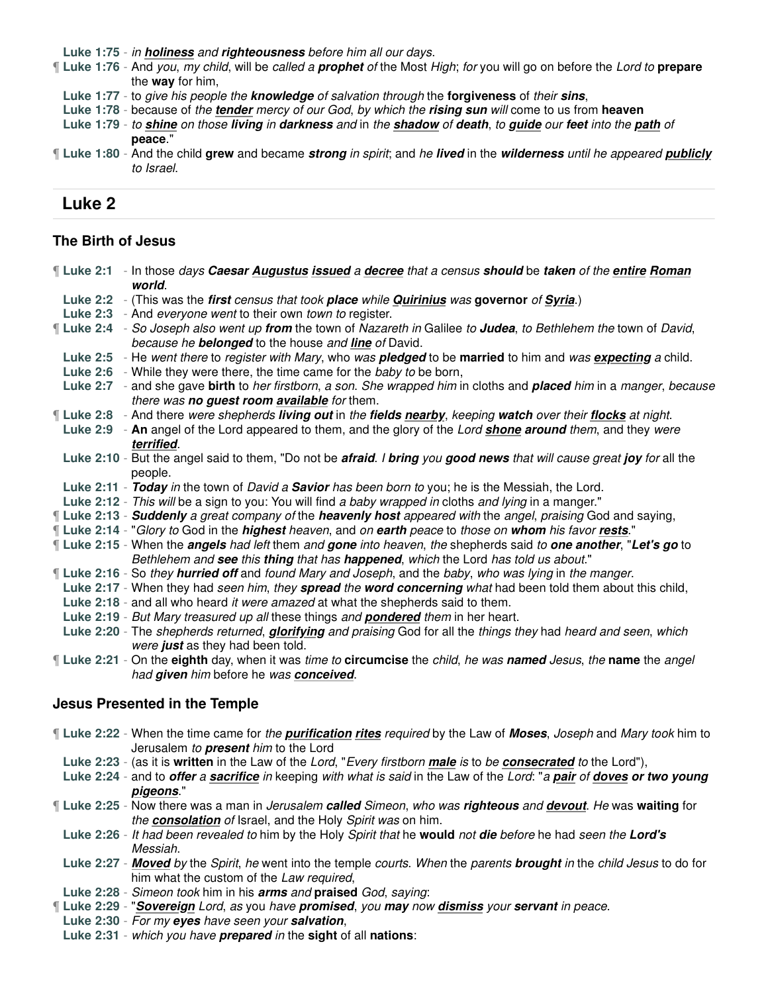**Luke 1:75** - in **holiness** and **righteousness** before him all our days.

- ¶ **Luke 1:76** And you, my child, will be called a **prophet** of the Most High; for you will go on before the Lord to **prepare** the **way** for him,
	- **Luke 1:77** to give his people the **knowledge** of salvation through the **forgiveness** of their **sins**,
	- **Luke 1:78** because of the **tender** mercy of our God, by which the **rising sun** will come to us from **heaven**
	- **Luke 1:79** to **shine** on those **living** in **darkness** and in the **shadow** of **death**, to **guide** our **feet** into the **path** of **peace**."
- ¶ **Luke 1:80** And the child **grew** and became **strong** in spirit; and he **lived** in the **wilderness** until he appeared **publicly** to Israel.

# **Luke 2**

### **The Birth of Jesus**

| If Luke 2:1 - In those days Caesar Augustus issued a decree that a census should be taken of the entire Roman<br>world.                                             |  |
|---------------------------------------------------------------------------------------------------------------------------------------------------------------------|--|
| Luke 2:2 - (This was the first census that took place while Quirinius was governor of Syria.)                                                                       |  |
| Luke 2:3 - And everyone went to their own town to register.                                                                                                         |  |
| Il Luke 2:4 - So Joseph also went up from the town of Nazareth in Galilee to Judea, to Bethlehem the town of David,                                                 |  |
| because he <b>belonged</b> to the house and <i>line</i> of David.                                                                                                   |  |
| Luke 2:5 - He went there to register with Mary, who was pledged to be married to him and was expecting a child.                                                     |  |
| Luke 2:6 - While they were there, the time came for the baby to be born,                                                                                            |  |
| Luke 2:7 - and she gave birth to her firstborn, a son. She wrapped him in cloths and placed him in a manger, because<br>there was no guest room available for them. |  |
| If Luke 2:8 - And there were shepherds living out in the fields nearby, keeping watch over their flocks at night.                                                   |  |
| Luke 2:9 - An angel of the Lord appeared to them, and the glory of the Lord <b>shone around</b> them, and they were<br>terrified.                                   |  |
| Luke 2:10 - But the angel said to them, "Do not be afraid. I bring you good news that will cause great joy for all the<br>people.                                   |  |
| Luke 2:11 - Today in the town of David a Savior has been born to you; he is the Messiah, the Lord.                                                                  |  |
| Luke 2:12 - This will be a sign to you: You will find a baby wrapped in cloths and lying in a manger."                                                              |  |
| [Luke 2:13 - Suddenly a great company of the heavenly host appeared with the angel, praising God and saying,                                                        |  |
| [Luke 2:14 - "Glory to God in the <i>highest heaven</i> , and on earth peace to those on whom his favor rests."                                                     |  |
| If Luke 2:15 - When the <i>angels had left</i> them and gone into heaven, the shepherds said to one another, "Let's go to                                           |  |
| Bethlehem and see this thing that has happened, which the Lord has told us about."                                                                                  |  |
| I Luke 2:16 - So they hurried off and found Mary and Joseph, and the baby, who was lying in the manger.                                                             |  |
| Luke 2:17 - When they had seen him, they spread the word concerning what had been told them about this child,                                                       |  |
| Luke 2:18 - and all who heard it were amazed at what the shepherds said to them.                                                                                    |  |
| Luke 2:19 - But Mary treasured up all these things and pondered them in her heart.                                                                                  |  |
| Luke 2:20 - The shepherds returned, <i>glorifying</i> and praising God for all the things they had heard and seen, which<br>were just as they had been told.        |  |
| If Luke 2:21 - On the eighth day, when it was time to circumcise the child, he was named Jesus, the name the angel                                                  |  |
| had given him before he was conceived.                                                                                                                              |  |
|                                                                                                                                                                     |  |
| <b>Jesus Presented in the Temple</b>                                                                                                                                |  |
| If Luke 2:22 - When the time came for the <b>purification rites</b> required by the Law of Moses, Joseph and Mary took him to                                       |  |
| Jerusalem to present him to the Lord                                                                                                                                |  |
| Luke 2:23 - (as it is written in the Law of the Lord, "Every firstborn male is to be consecrated to the Lord"),                                                     |  |
| Luke 2:24 - and to offer a sacrifice in keeping with what is said in the Law of the Lord: "a pair of doves or two young                                             |  |
| pigeons."                                                                                                                                                           |  |
| If Luke 2:25 - Now there was a man in Jerusalem called Simeon, who was righteous and devout. He was waiting for                                                     |  |
| the <b>consolation</b> of Israel, and the Holy Spirit was on him.                                                                                                   |  |
| Luke 2:26 - It had been revealed to him by the Holy Spirit that he would not die before he had seen the Lord's                                                      |  |
| Messiah.                                                                                                                                                            |  |
| Luke 2:27 - Moved by the Spirit, he went into the temple courts. When the parents brought in the child Jesus to do for                                              |  |
| him what the custom of the Law required,                                                                                                                            |  |
| Luke 2:28 - Simeon took him in his arms and praised God, saying:                                                                                                    |  |
| I Luke 2:29 - "Sovereign Lord, as you have promised, you may now dismiss your servant in peace.                                                                     |  |
| Luke 2:30 - For my eyes have seen your salvation,<br>Luke 2:31 - which you have prepared in the sight of all nations:                                               |  |
|                                                                                                                                                                     |  |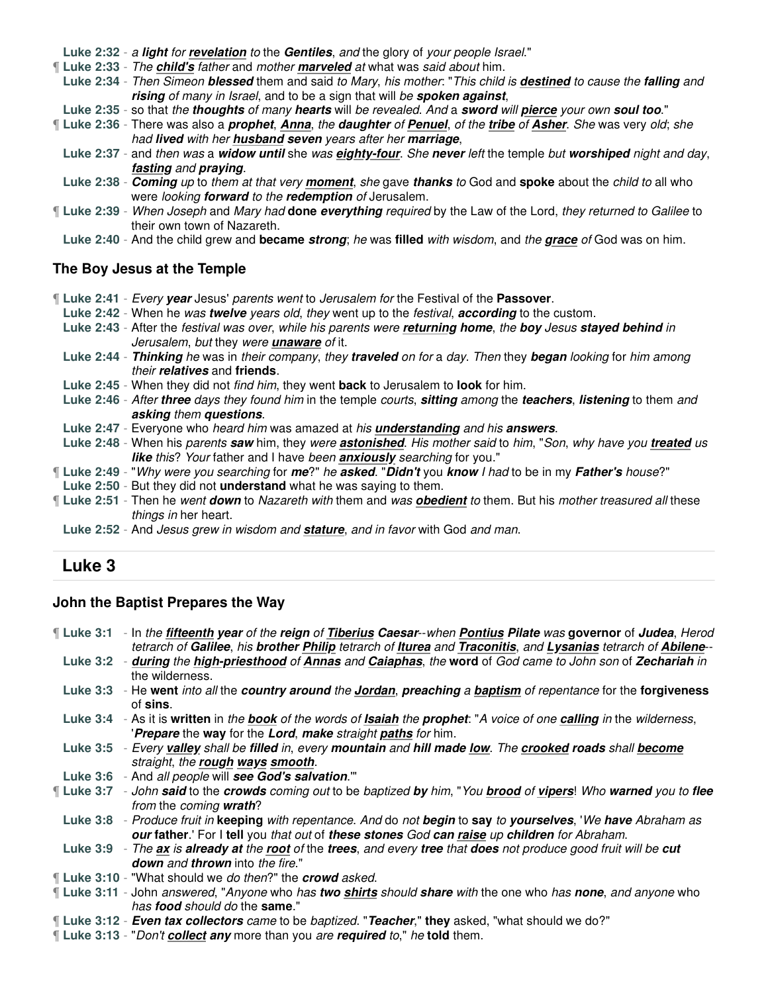**Luke 2:32** - a **light** for **revelation** to the **Gentiles**, and the glory of your people Israel."

¶ **Luke 2:33** - The **child's** father and mother **marveled** at what was said about him.

**Luke 2:34** - Then Simeon **blessed** them and said to Mary, his mother: "This child is **destined** to cause the **falling** and **rising** of many in Israel, and to be a sign that will be **spoken against**,

**Luke 2:35** - so that the **thoughts** of many **hearts** will be revealed. And a **sword** will **pierce** your own **soul too**."

¶ **Luke 2:36** - There was also a **prophet**, **Anna**, the **daughter** of **Penuel**, of the **tribe** of **Asher**. She was very old; she had **lived** with her **husband seven** years after her **marriage**,

- **Luke 2:37** and then was a **widow until** she was **eighty-four**. She **never** left the temple but **worshiped** night and day, **fasting** and **praying**.
- **Luke 2:38 Coming** up to them at that very **moment**, she gave **thanks** to God and **spoke** about the child to all who were looking **forward** to the **redemption** of Jerusalem.
- ¶ **Luke 2:39** When Joseph and Mary had **done everything** required by the Law of the Lord, they returned to Galilee to their own town of Nazareth.

**Luke 2:40** - And the child grew and **became strong**; he was **filled** with wisdom, and the **grace** of God was on him.

## **The Boy Jesus at the Temple**

- ¶ **Luke 2:41** Every **year** Jesus' parents went to Jerusalem for the Festival of the **Passover**.
- **Luke 2:42** When he was **twelve** years old, they went up to the festival, **according** to the custom.
- **Luke 2:43** After the festival was over, while his parents were **returning home**, the **boy** Jesus **stayed behind** in Jerusalem, but they were **unaware** of it.
- **Luke 2:44 Thinking** he was in their company, they **traveled** on for a day. Then they **began** looking for him among their **relatives** and **friends**.
- **Luke 2:45** When they did not find him, they went **back** to Jerusalem to **look** for him.
- **Luke 2:46** After **three** days they found him in the temple courts, **sitting** among the **teachers**, **listening** to them and **asking** them **questions**.
- **Luke 2:47** Everyone who heard him was amazed at his **understanding** and his **answers**.
- **Luke 2:48** When his parents **saw** him, they were **astonished**. His mother said to him, "Son, why have you **treated** us **like** this? Your father and I have been **anxiously** searching for you."
- ¶ **Luke 2:49** "Why were you searching for **me**?" he **asked**. "**Didn't** you **know** I had to be in my **Father's** house?"
- **Luke 2:50** But they did not **understand** what he was saying to them.
- ¶ **Luke 2:51** Then he went **down** to Nazareth with them and was **obedient** to them. But his mother treasured all these things in her heart.
- **Luke 2:52** And Jesus grew in wisdom and **stature**, and in favor with God and man.

# **Luke 3**

### **John the Baptist Prepares the Way**

¶ **Luke 3:1** - In the **fifteenth year** of the **reign** of **Tiberius Caesar**--when **Pontius Pilate** was **governor** of **Judea**, Herod tetrarch of **Galilee**, his **brother Philip** tetrarch of **Iturea** and **Traconitis**, and **Lysanias** tetrarch of **Abilene**-- **Luke 3:2** - **during** the **high-priesthood** of **Annas** and **Caiaphas**, the **word** of God came to John son of **Zechariah** in the wilderness.

- **Luke 3:3** He **went** into all the **country around** the **Jordan**, **preaching** a **baptism** of repentance for the **forgiveness** of **sins**.
- **Luke 3:4** As it is **written** in the **book** of the words of **Isaiah** the **prophet**: "A voice of one **calling** in the wilderness, '**Prepare** the **way** for the **Lord**, **make** straight **paths** for him.
- **Luke 3:5** Every **valley** shall be **filled** in, every **mountain** and **hill made low**. The **crooked roads** shall **become** straight, the **rough ways smooth**.
- **Luke 3:6** And all people will **see God's salvation**.'"
- ¶ **Luke 3:7** John **said** to the **crowds** coming out to be baptized **by** him, "You **brood** of **vipers**! Who **warned** you to **flee** from the coming **wrath**?

**Luke 3:8** - Produce fruit in **keeping** with repentance. And do not **begin** to **say** to **yourselves**, 'We **have** Abraham as **our father**.' For I **tell** you that out of **these stones** God **can raise** up **children** for Abraham.

**Luke 3:9** - The **ax** is **already at** the **root** of the **trees**, and every **tree** that **does** not produce good fruit will be **cut down** and **thrown** into the fire."

- ¶ **Luke 3:10** "What should we do then?" the **crowd** asked.
- ¶ **Luke 3:11** John answered, "Anyone who has **two shirts** should **share** with the one who has **none**, and anyone who has **food** should do the **same**."
- ¶ **Luke 3:12 Even tax collectors** came to be baptized. "**Teacher**," **they** asked, "what should we do?"
- ¶ **Luke 3:13** "Don't **collect any** more than you are **required** to," he **told** them.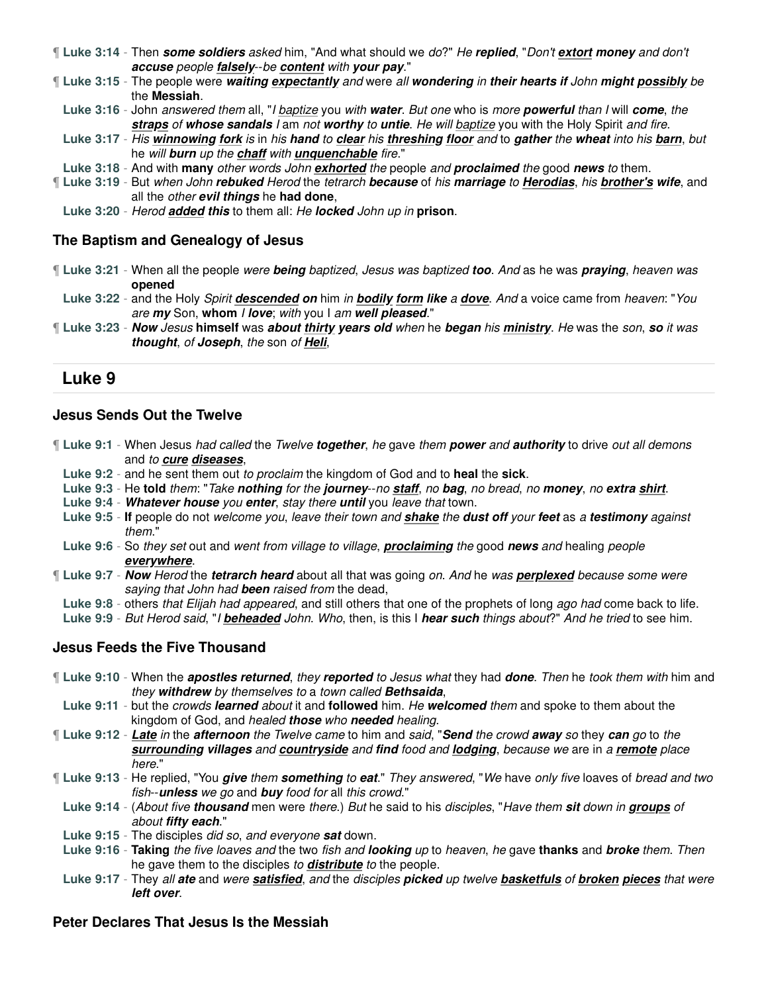- ¶ **Luke 3:14** Then **some soldiers** asked him, "And what should we do?" He **replied**, "Don't **extort money** and don't **accuse** people **falsely**--be **content** with **your pay**."
- ¶ **Luke 3:15** The people were **waiting expectantly** and were all **wondering** in **their hearts if** John **might possibly** be the **Messiah**.
- **Luke 3:16** John answered them all, "I baptize you with **water**. But one who is more **powerful** than I will **come**, the **straps** of **whose sandals** I am not **worthy** to **untie**. He will baptize you with the Holy Spirit and fire.
- **Luke 3:17** His **winnowing fork** is in his **hand** to **clear** his **threshing floor** and to **gather** the **wheat** into his **barn**, but he will **burn** up the **chaff** with **unquenchable** fire."
- **Luke 3:18** And with **many** other words John **exhorted** the people and **proclaimed** the good **news** to them.
- ¶ **Luke 3:19** But when John **rebuked** Herod the tetrarch **because** of his **marriage** to **Herodias**, his **brother's wife**, and all the other **evil things** he **had done**,
- **Luke 3:20** Herod **added this** to them all: He **locked** John up in **prison**.

### **The Baptism and Genealogy of Jesus**

- ¶ **Luke 3:21** When all the people were **being** baptized, Jesus was baptized **too**. And as he was **praying**, heaven was **opened**
- **Luke 3:22** and the Holy Spirit **descended on** him in **bodily form like** a **dove**. And a voice came from heaven: "You are **my** Son, **whom** I **love**; with you I am **well pleased**."
- ¶ **Luke 3:23 Now** Jesus **himself** was **about thirty years old** when he **began** his **ministry**. He was the son, **so** it was **thought**, of **Joseph**, the son of **Heli**,

# **Luke 9**

### **Jesus Sends Out the Twelve**

- ¶ **Luke 9:1** When Jesus had called the Twelve **together**, he gave them **power** and **authority** to drive out all demons and to **cure diseases**,
	- **Luke 9:2** and he sent them out to proclaim the kingdom of God and to **heal** the **sick**.
	- **Luke 9:3** He **told** them: "Take **nothing** for the **journey**--no **staff**, no **bag**, no bread, no **money**, no **extra shirt**.
	- **Luke 9:4 Whatever house** you **enter**, stay there **until** you leave that town.
	- **Luke 9:5 If** people do not welcome you, leave their town and **shake** the **dust off** your **feet** as a **testimony** against them."
	- **Luke 9:6** So they set out and went from village to village, **proclaiming** the good **news** and healing people **everywhere**.
- ¶ **Luke 9:7 Now** Herod the **tetrarch heard** about all that was going on. And he was **perplexed** because some were saying that John had **been** raised from the dead,
	- **Luke 9:8** others that Elijah had appeared, and still others that one of the prophets of long ago had come back to life.
- **Luke 9:9** But Herod said, "I **beheaded** John. Who, then, is this I **hear such** things about?" And he tried to see him.

# **Jesus Feeds the Five Thousand**

- ¶ **Luke 9:10** When the **apostles returned**, they **reported** to Jesus what they had **done**. Then he took them with him and they **withdrew** by themselves to a town called **Bethsaida**,
- **Luke 9:11** but the crowds **learned** about it and **followed** him. He **welcomed** them and spoke to them about the kingdom of God, and healed **those** who **needed** healing.
- ¶ **Luke 9:12 Late** in the **afternoon** the Twelve came to him and said, "**Send** the crowd **away** so they **can** go to the **surrounding villages** and **countryside** and **find** food and **lodging**, because we are in a **remote** place here."
- ¶ **Luke 9:13** He replied, "You **give** them **something** to **eat**." They answered, "We have only five loaves of bread and two fish--**unless** we go and **buy** food for all this crowd."
	- **Luke 9:14** (About five **thousand** men were there.) But he said to his disciples, "Have them **sit** down in **groups** of about **fifty each**."
	- **Luke 9:15** The disciples did so, and everyone **sat** down.
	- **Luke 9:16 Taking** the five loaves and the two fish and **looking** up to heaven, he gave **thanks** and **broke** them. Then he gave them to the disciples to **distribute** to the people.
	- **Luke 9:17** They all **ate** and were **satisfied**, and the disciples **picked** up twelve **basketfuls** of **broken pieces** that were **left over**.

### **Peter Declares That Jesus Is the Messiah**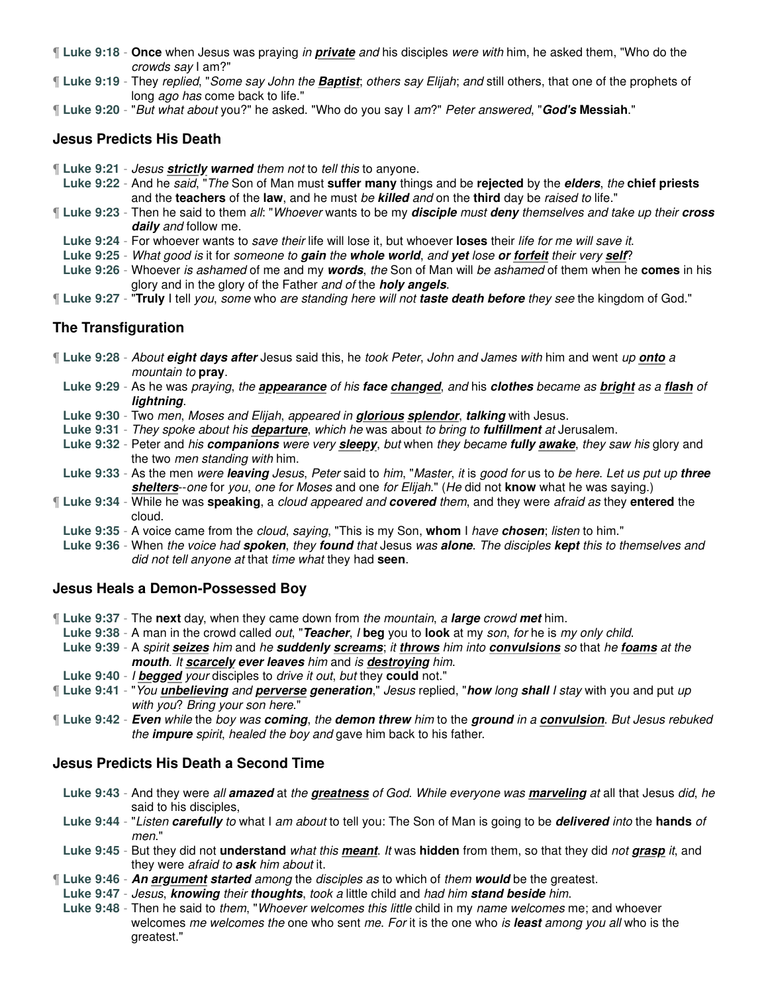- ¶ **Luke 9:18 Once** when Jesus was praying in **private** and his disciples were with him, he asked them, "Who do the crowds say I am?"
- ¶ **Luke 9:19** They replied, "Some say John the **Baptist**; others say Elijah; and still others, that one of the prophets of long ago has come back to life."
- ¶ **Luke 9:20** "But what about you?" he asked. "Who do you say I am?" Peter answered, "**God's Messiah**."

### **Jesus Predicts His Death**

- ¶ **Luke 9:21** Jesus **strictly warned** them not to tell this to anyone.
- **Luke 9:22** And he said, "The Son of Man must **suffer many** things and be **rejected** by the **elders**, the **chief priests** and the **teachers** of the **law**, and he must be **killed** and on the **third** day be raised to life."
- ¶ **Luke 9:23** Then he said to them all: "Whoever wants to be my **disciple** must **deny** themselves and take up their **cross daily** and follow me.
- **Luke 9:24** For whoever wants to save their life will lose it, but whoever **loses** their life for me will save it.
- **Luke 9:25** What good is it for someone to **gain** the **whole world**, and **yet** lose **or forfeit** their very **self**?
- **Luke 9:26** Whoever is ashamed of me and my **words**, the Son of Man will be ashamed of them when he **comes** in his glory and in the glory of the Father and of the **holy angels**.
- ¶ **Luke 9:27** "**Truly** I tell you, some who are standing here will not **taste death before** they see the kingdom of God."

# **The Transfiguration**

- ¶ **Luke 9:28** About **eight days after** Jesus said this, he took Peter, John and James with him and went up **onto** a mountain to **pray**.
	- **Luke 9:29** As he was praying, the **appearance** of his **face changed**, and his **clothes** became as **bright** as a **flash** of **lightning**.
	- **Luke 9:30** Two men, Moses and Elijah, appeared in **glorious splendor**, **talking** with Jesus.
	- **Luke 9:31** They spoke about his **departure**, which he was about to bring to **fulfillment** at Jerusalem.
	- **Luke 9:32** Peter and his **companions** were very **sleepy**, but when they became **fully awake**, they saw his glory and the two men standing with him.
	- **Luke 9:33** As the men were **leaving** Jesus, Peter said to him, "Master, it is good for us to be here. Let us put up **three shelters**--one for you, one for Moses and one for Elijah." (He did not **know** what he was saying.)
- ¶ **Luke 9:34** While he was **speaking**, a cloud appeared and **covered** them, and they were afraid as they **entered** the cloud.
- **Luke 9:35** A voice came from the cloud, saying, "This is my Son, **whom** I have **chosen**; listen to him."
- **Luke 9:36** When the voice had **spoken**, they **found** that Jesus was **alone**. The disciples **kept** this to themselves and did not tell anyone at that time what they had **seen**.

### **Jesus Heals a Demon-Possessed Boy**

- ¶ **Luke 9:37** The **next** day, when they came down from the mountain, a **large** crowd **met** him.
- **Luke 9:38** A man in the crowd called out, "**Teacher**, I **beg** you to **look** at my son, for he is my only child. **Luke 9:39** - A spirit **seizes** him and he **suddenly screams**; it **throws** him into **convulsions** so that he **foams** at the **mouth**. It **scarcely ever leaves** him and is **destroying** him.
- **Luke 9:40** I **begged** your disciples to drive it out, but they **could** not."
- ¶ **Luke 9:41** "You **unbelieving** and **perverse generation**," Jesus replied, "**how** long **shall** I stay with you and put up with you? Bring your son here."
- ¶ **Luke 9:42 Even** while the boy was **coming**, the **demon threw** him to the **ground** in a **convulsion**. But Jesus rebuked the **impure** spirit, healed the boy and gave him back to his father.

### **Jesus Predicts His Death a Second Time**

- **Luke 9:43** And they were all **amazed** at the **greatness** of God. While everyone was **marveling** at all that Jesus did, he said to his disciples,
- **Luke 9:44** "Listen **carefully** to what I am about to tell you: The Son of Man is going to be **delivered** into the **hands** of men."
- **Luke 9:45** But they did not **understand** what this **meant**. It was **hidden** from them, so that they did not **grasp** it, and they were afraid to **ask** him about it.
- ¶ **Luke 9:46 An argument started** among the disciples as to which of them **would** be the greatest.
- **Luke 9:47** Jesus, **knowing** their **thoughts**, took a little child and had him **stand beside** him.
- **Luke 9:48** Then he said to them, "Whoever welcomes this little child in my name welcomes me; and whoever welcomes me welcomes the one who sent me. For it is the one who is **least** among you all who is the greatest."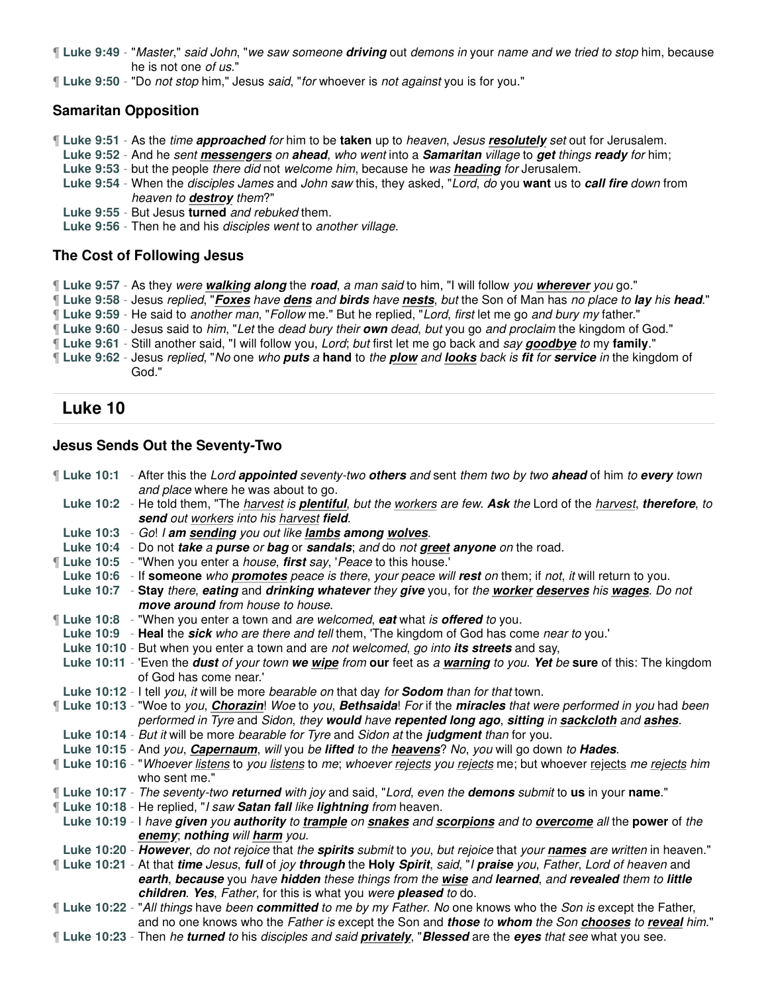¶ **Luke 9:49** - "Master," said John, "we saw someone **driving** out demons in your name and we tried to stop him, because he is not one of us."

¶ **Luke 9:50** - "Do not stop him," Jesus said, "for whoever is not against you is for you."

### **Samaritan Opposition**

- ¶ **Luke 9:51** As the time **approached** for him to be **taken** up to heaven, Jesus **resolutely** set out for Jerusalem.
- **Luke 9:52** And he sent **messengers** on **ahead**, who went into a **Samaritan** village to **get** things **ready** for him;
- **Luke 9:53** but the people there did not welcome him, because he was **heading** for Jerusalem.
- **Luke 9:54** When the disciples James and John saw this, they asked, "Lord, do you **want** us to **call fire** down from heaven to **destroy** them?"
- **Luke 9:55** But Jesus **turned** and rebuked them.
- **Luke 9:56** Then he and his disciples went to another village.

### **The Cost of Following Jesus**

- ¶ **Luke 9:57** As they were **walking along** the **road**, a man said to him, "I will follow you **wherever** you go."
- ¶ **Luke 9:58** Jesus replied, "**Foxes** have **dens** and **birds** have **nests**, but the Son of Man has no place to **lay** his **head**."
- ¶ **Luke 9:59** He said to another man, "Follow me." But he replied, "Lord, first let me go and bury my father."
- ¶ **Luke 9:60** Jesus said to him, "Let the dead bury their **own** dead, but you go and proclaim the kingdom of God."
- ¶ **Luke 9:61** Still another said, "I will follow you, Lord; but first let me go back and say **goodbye** to my **family**."
- ¶ **Luke 9:62** Jesus replied, "No one who **puts** a **hand** to the **plow** and **looks** back is **fit** for **service** in the kingdom of God."

## **Luke 10**

### **Jesus Sends Out the Seventy-Two**

¶ **Luke 10:1** - After this the Lord **appointed** seventy-two **others** and sent them two by two **ahead** of him to **every** town and place where he was about to go. **Luke 10:2** - He told them, "The harvest is **plentiful**, but the workers are few. **Ask** the Lord of the harvest, **therefore**, to **send** out workers into his harvest **field**. **Luke 10:3** - Go! I **am sending** you out like **lambs among wolves**. **Luke 10:4** - Do not **take** a **purse** or **bag** or **sandals**; and do not **greet anyone** on the road. ¶ **Luke 10:5** - "When you enter a house, **first** say, 'Peace to this house.' **Luke 10:6** - If **someone** who **promotes** peace is there, your peace will **rest** on them; if not, it will return to you. **Luke 10:7** - **Stay** there, **eating** and **drinking whatever** they **give** you, for the **worker deserves** his **wages**. Do not **move around** from house to house. ¶ **Luke 10:8** - "When you enter a town and are welcomed, **eat** what is **offered** to you. **Luke 10:9** - **Heal** the **sick** who are there and tell them, 'The kingdom of God has come near to you.' **Luke 10:10** - But when you enter a town and are not welcomed, go into **its streets** and say, **Luke 10:11** - 'Even the **dust** of your town **we wipe** from **our** feet as a **warning** to you. **Yet** be **sure** of this: The kingdom of God has come near.' **Luke 10:12** - I tell you, it will be more bearable on that day for **Sodom** than for that town. ¶ **Luke 10:13** - "Woe to you, **Chorazin**! Woe to you, **Bethsaida**! For if the **miracles** that were performed in you had been performed in Tyre and Sidon, they **would** have **repented long ago**, **sitting** in **sackcloth** and **ashes**. **Luke 10:14** - But it will be more bearable for Tyre and Sidon at the **judgment** than for you. **Luke 10:15** - And you, **Capernaum**, will you be **lifted** to the **heavens**? No, you will go down to **Hades**. ¶ **Luke 10:16** - "Whoever listens to you listens to me; whoever rejects you rejects me; but whoever rejects me rejects him who sent me." ¶ **Luke 10:17** - The seventy-two **returned** with joy and said, "Lord, even the **demons** submit to **us** in your **name**." ¶ **Luke 10:18** - He replied, "I saw **Satan fall** like **lightning** from heaven. **Luke 10:19** - I have **given** you **authority** to **trample** on **snakes** and **scorpions** and to **overcome** all the **power** of the **enemy**; **nothing** will **harm** you. **Luke 10:20** - **However**, do not rejoice that the **spirits** submit to you, but rejoice that your **names** are written in heaven." ¶ **Luke 10:21** - At that **time** Jesus, **full** of joy **through** the **Holy Spirit**, said, "I **praise** you, Father, Lord of heaven and **earth**, **because** you have **hidden** these things from the **wise** and **learned**, and **revealed** them to **little children**. **Yes**, Father, for this is what you were **pleased** to do. ¶ **Luke 10:22** - "All things have been **committed** to me by my Father. No one knows who the Son is except the Father, and no one knows who the Father is except the Son and **those** to **whom** the Son **chooses** to **reveal** him." ¶ **Luke 10:23** - Then he **turned** to his disciples and said **privately**, "**Blessed** are the **eyes** that see what you see.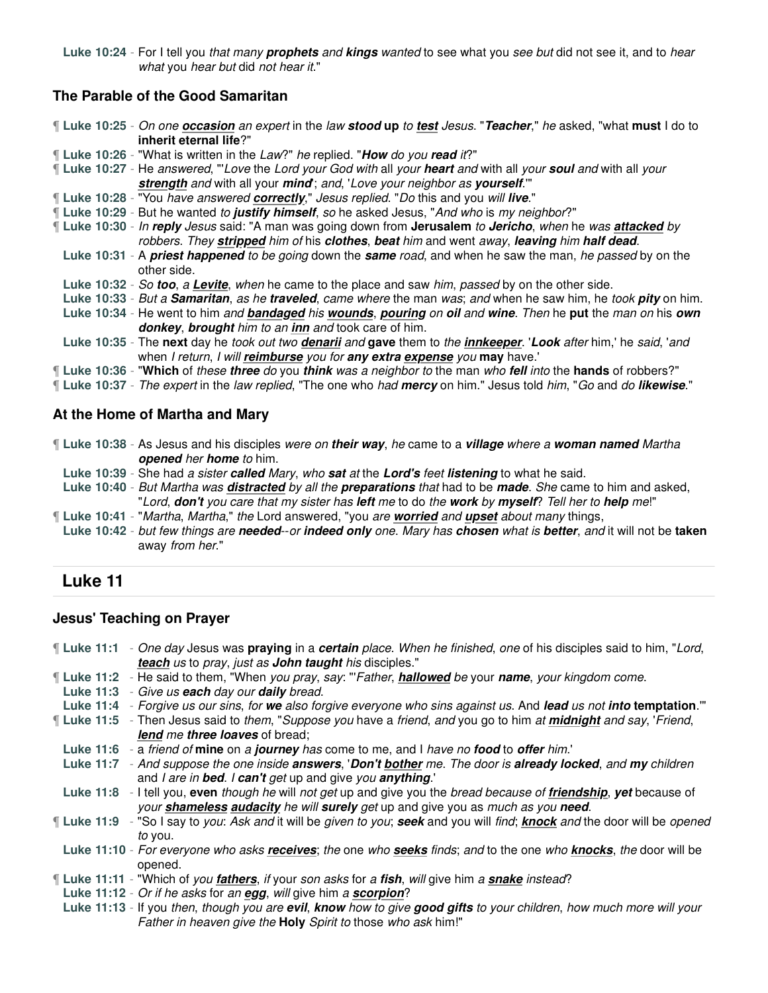**Luke 10:24** - For I tell you that many **prophets** and **kings** wanted to see what you see but did not see it, and to hear what you hear but did not hear it."

# **The Parable of the Good Samaritan**

¶ **Luke 10:25** - On one **occasion** an expert in the law **stood up** to **test** Jesus. "**Teacher**," he asked, "what **must** I do to **inherit eternal life**?"

¶ **Luke 10:26** - "What is written in the Law?" he replied. "**How** do you **read** it?"

¶ **Luke 10:27** - He answered, "'Love the Lord your God with all your **heart** and with all your **soul** and with all your **strength** and with all your **mind**'; and, 'Love your neighbor as **yourself**.'"

- ¶ **Luke 10:28** "You have answered **correctly**," Jesus replied. "Do this and you will **live**."
- ¶ **Luke 10:29** But he wanted to **justify himself**, so he asked Jesus, "And who is my neighbor?"

¶ **Luke 10:30** - In **reply** Jesus said: "A man was going down from **Jerusalem** to **Jericho**, when he was **attacked** by robbers. They **stripped** him of his **clothes**, **beat** him and went away, **leaving** him **half dead**.

- **Luke 10:31** A **priest happened** to be going down the **same** road, and when he saw the man, he passed by on the other side.
- **Luke 10:32** So **too**, a **Levite**, when he came to the place and saw him, passed by on the other side.
- **Luke 10:33** But a **Samaritan**, as he **traveled**, came where the man was; and when he saw him, he took **pity** on him. **Luke 10:34** - He went to him and **bandaged** his **wounds**, **pouring** on **oil** and **wine**. Then he **put** the man on his **own donkey**, **brought** him to an **inn** and took care of him.
- **Luke 10:35** The **next** day he took out two **denarii** and **gave** them to the **innkeeper**. '**Look** after him,' he said, 'and when I return, I will **reimburse** you for **any extra expense** you **may** have.'

¶ **Luke 10:36** - "**Which** of these **three** do you **think** was a neighbor to the man who **fell** into the **hands** of robbers?"

¶ **Luke 10:37** - The expert in the law replied, "The one who had **mercy** on him." Jesus told him, "Go and do **likewise**."

### **At the Home of Martha and Mary**

¶ **Luke 10:38** - As Jesus and his disciples were on **their way**, he came to a **village** where a **woman named** Martha **opened** her **home** to him.

- **Luke 10:39** She had a sister **called** Mary, who **sat** at the **Lord's** feet **listening** to what he said.
- **Luke 10:40** But Martha was **distracted** by all the **preparations** that had to be **made**. She came to him and asked, "Lord, **don't** you care that my sister has **left** me to do the **work** by **myself**? Tell her to **help** me!"
- ¶ **Luke 10:41** "Martha, Martha," the Lord answered, "you are **worried** and **upset** about many things,
- **Luke 10:42** but few things are **needed**--or **indeed only** one. Mary has **chosen** what is **better**, and it will not be **taken** away from her."

# **Luke 11**

### **Jesus' Teaching on Prayer**

¶ **Luke 11:1** - One day Jesus was **praying** in a **certain** place. When he finished, one of his disciples said to him, "Lord, **teach** us to pray, just as **John taught** his disciples."

- ¶ **Luke 11:2** He said to them, "When you pray, say: "'Father, **hallowed** be your **name**, your kingdom come.
- **Luke 11:3** Give us **each** day our **daily** bread.
- **Luke 11:4** Forgive us our sins, for **we** also forgive everyone who sins against us. And **lead** us not **into temptation**.'"
- ¶ **Luke 11:5** Then Jesus said to them, "Suppose you have a friend, and you go to him at **midnight** and say, 'Friend, **lend** me **three loaves** of bread;
- **Luke 11:6** a friend of **mine** on a **journey** has come to me, and I have no **food** to **offer** him.'
- **Luke 11:7** And suppose the one inside **answers**, '**Don't bother** me. The door is **already locked**, and **my** children and I are in **bed**. I **can't** get up and give you **anything**.'

**Luke 11:8** - I tell you, **even** though he will not get up and give you the bread because of **friendship**, **yet** because of your **shameless audacity** he will **surely** get up and give you as much as you **need**.

- ¶ **Luke 11:9** "So I say to you: Ask and it will be given to you; **seek** and you will find; **knock** and the door will be opened to you.
- **Luke 11:10** For everyone who asks **receives**; the one who **seeks** finds; and to the one who **knocks**, the door will be opened.
- ¶ **Luke 11:11** "Which of you **fathers**, if your son asks for a **fish**, will give him a **snake** instead?
- **Luke 11:12** Or if he asks for an **egg**, will give him a **scorpion**?
- **Luke 11:13** If you then, though you are **evil**, **know** how to give **good gifts** to your children, how much more will your Father in heaven give the **Holy** Spirit to those who ask him!"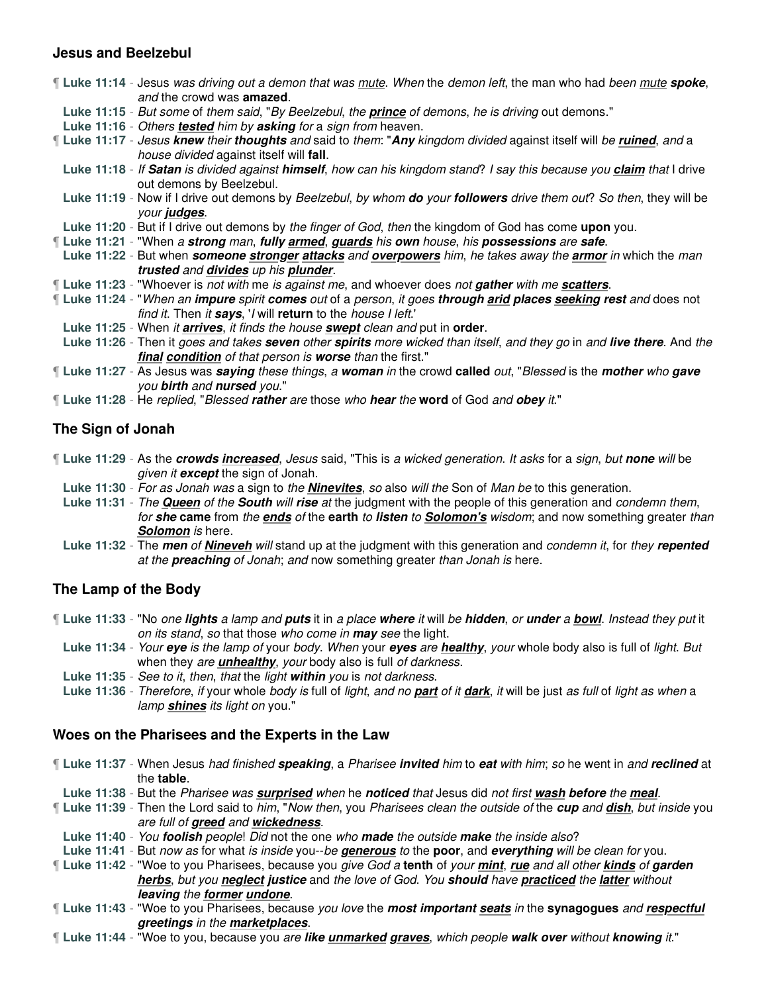### **Jesus and Beelzebul**

|  | <b>If Luke 11:14</b> - Jesus was driving out a demon that was mute. When the demon left, the man who had been mute spoke,<br>and the crowd was <b>amazed</b> .   |
|--|------------------------------------------------------------------------------------------------------------------------------------------------------------------|
|  | Luke 11:15 - But some of them said, "By Beelzebul, the <b>prince</b> of demons, he is driving out demons."                                                       |
|  | Luke 11:16 - Others tested him by asking for a sign from heaven.                                                                                                 |
|  | If Luke 11:17 - Jesus knew their thoughts and said to them: "Any kingdom divided against itself will be ruined, and a<br>house divided against itself will fall. |
|  | Luke 11:18 - If Satan is divided against himself, how can his kingdom stand? I say this because you claim that I drive<br>out demons by Beelzebul.               |
|  | Luke 11:19 - Now if I drive out demons by Beelzebul, by whom <b>do</b> your followers drive them out? So then, they will be<br>your judges.                      |
|  | Luke 11:20 - But if I drive out demons by the finger of God, then the kingdom of God has come upon you.                                                          |
|  | If Luke 11:21 - "When a strong man, fully armed, guards his own house, his possessions are safe.                                                                 |
|  | Luke 11:22 - But when someone stronger attacks and overpowers him, he takes away the armor in which the man                                                      |
|  | trusted and divides up his plunder.                                                                                                                              |
|  | I Luke 11:23 - "Whoever is not with me is against me, and whoever does not gather with me scatters.                                                              |
|  | If Luke 11:24 - "When an impure spirit comes out of a person, it goes through arid places seeking rest and does not                                              |
|  | find it. Then it says, 'I will return to the house I left.'                                                                                                      |
|  | Luke 11:25 - When it <b>arrives</b> , it finds the house <b>swept</b> clean and put in <b>order</b> .                                                            |
|  | Luke 11:26 - Then it goes and takes seven other spirits more wicked than itself, and they go in and live there. And the                                          |
|  | final condition of that person is worse than the first."                                                                                                         |
|  | If Luke 11:27 - As Jesus was <i>saying these things, a woman in</i> the crowd called <i>out, "Blessed</i> is the <i>mother who gave</i>                          |
|  | you birth and nursed you."                                                                                                                                       |
|  | <b>If Luke 11:28</b> - He replied, "Blessed rather are those who hear the word of God and obey it."                                                              |
|  |                                                                                                                                                                  |

## **The Sign of Jonah**

- ¶ **Luke 11:29** As the **crowds increased**, Jesus said, "This is a wicked generation. It asks for a sign, but **none** will be given it **except** the sign of Jonah.
- **Luke 11:30** For as Jonah was a sign to the **Ninevites**, so also will the Son of Man be to this generation.
- **Luke 11:31** The **Queen** of the **South** will **rise** at the judgment with the people of this generation and condemn them, for **she came** from the **ends** of the **earth** to **listen** to **Solomon's** wisdom; and now something greater than **Solomon** is here.
- **Luke 11:32** The **men** of **Nineveh** will stand up at the judgment with this generation and condemn it, for they **repented** at the **preaching** of Jonah; and now something greater than Jonah is here.

# **The Lamp of the Body**

¶ **Luke 11:33** - "No one **lights** a lamp and **puts** it in a place **where** it will be **hidden**, or **under** a **bowl**. Instead they put it on its stand, so that those who come in **may** see the light.

- **Luke 11:34** Your **eye** is the lamp of your body. When your **eyes** are **healthy**, your whole body also is full of light. But when they are **unhealthy**, your body also is full of darkness.
- **Luke 11:35** See to it, then, that the light **within** you is not darkness.
- **Luke 11:36** Therefore, if your whole body is full of light, and no **part** of it **dark**, it will be just as full of light as when a lamp **shines** its light on you."

### **Woes on the Pharisees and the Experts in the Law**

¶ **Luke 11:37** - When Jesus had finished **speaking**, a Pharisee **invited** him to **eat** with him; so he went in and **reclined** at the **table**.

**Luke 11:38** - But the Pharisee was **surprised** when he **noticed** that Jesus did not first **wash before** the **meal**.

¶ **Luke 11:39** - Then the Lord said to him, "Now then, you Pharisees clean the outside of the **cup** and **dish**, but inside you are full of **greed** and **wickedness**.

**Luke 11:40** - You **foolish** people! Did not the one who **made** the outside **make** the inside also?

**Luke 11:41** - But now as for what is inside you--be **generous** to the **poor**, and **everything** will be clean for you.

¶ **Luke 11:42** - "Woe to you Pharisees, because you give God a **tenth** of your **mint**, **rue** and all other **kinds** of **garden herbs**, but you **neglect justice** and the love of God. You **should** have **practiced** the **latter** without **leaving** the **former undone**.

¶ **Luke 11:43** - "Woe to you Pharisees, because you love the **most important seats** in the **synagogues** and **respectful greetings** in the **marketplaces**.

¶ **Luke 11:44** - "Woe to you, because you are **like unmarked graves**, which people **walk over** without **knowing** it."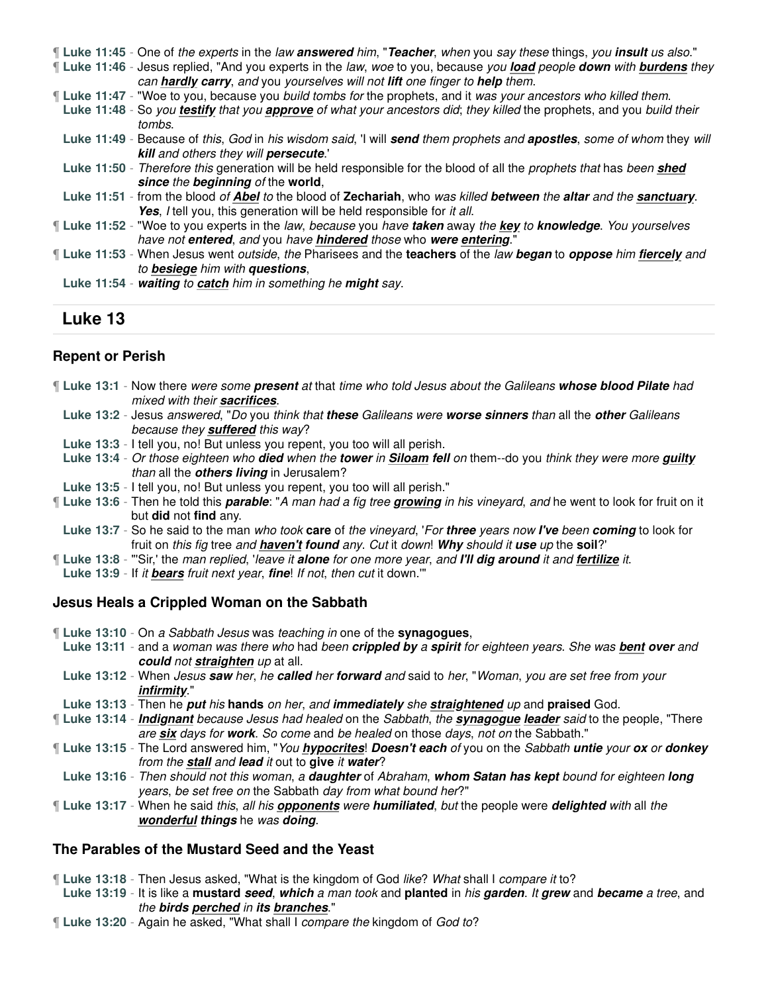¶ **Luke 11:45** - One of the experts in the law **answered** him, "**Teacher**, when you say these things, you **insult** us also."

¶ **Luke 11:46** - Jesus replied, "And you experts in the law, woe to you, because you **load** people **down** with **burdens** they can **hardly carry**, and you yourselves will not **lift** one finger to **help** them.

¶ **Luke 11:47** - "Woe to you, because you build tombs for the prophets, and it was your ancestors who killed them.

**Luke 11:48** - So you **testify** that you **approve** of what your ancestors did; they killed the prophets, and you build their tombs.

- **Luke 11:49** Because of this, God in his wisdom said, 'I will **send** them prophets and **apostles**, some of whom they will **kill** and others they will **persecute**.'
- **Luke 11:50** Therefore this generation will be held responsible for the blood of all the prophets that has been **shed since** the **beginning** of the **world**,
- **Luke 11:51** from the blood of **Abel** to the blood of **Zechariah**, who was killed **between** the **altar** and the **sanctuary**. **Yes**, *I* tell you, this generation will be held responsible for *it all.*
- ¶ **Luke 11:52** "Woe to you experts in the law, because you have **taken** away the **key** to **knowledge**. You yourselves have not **entered**, and you have **hindered** those who **were entering**."
- ¶ **Luke 11:53** When Jesus went outside, the Pharisees and the **teachers** of the law **began** to **oppose** him **fiercely** and to **besiege** him with **questions**,
- **Luke 11:54 waiting** to **catch** him in something he **might** say.

# **Luke 13**

# **Repent or Perish**

- ¶ **Luke 13:1** Now there were some **present** at that time who told Jesus about the Galileans **whose blood Pilate** had mixed with their **sacrifices**.
	- **Luke 13:2** Jesus answered, "Do you think that **these** Galileans were **worse sinners** than all the **other** Galileans because they **suffered** this way?
- **Luke 13:3** I tell you, no! But unless you repent, you too will all perish.
- **Luke 13:4** Or those eighteen who **died** when the **tower** in **Siloam fell** on them--do you think they were more **guilty** than all the **others living** in Jerusalem?
- **Luke 13:5** I tell you, no! But unless you repent, you too will all perish."
- ¶ **Luke 13:6** Then he told this **parable**: "A man had a fig tree **growing** in his vineyard, and he went to look for fruit on it but **did** not **find** any.
- **Luke 13:7** So he said to the man who took **care** of the vineyard, 'For **three** years now **I've** been **coming** to look for fruit on this fig tree and **haven't found** any. Cut it down! **Why** should it **use** up the **soil**?'
- ¶ **Luke 13:8** "'Sir,' the man replied, 'leave it **alone** for one more year, and **I'll dig around** it and **fertilize** it.
- **Luke 13:9** If it **bears** fruit next year, **fine**! If not, then cut it down.'"

# **Jesus Heals a Crippled Woman on the Sabbath**

- ¶ **Luke 13:10** On a Sabbath Jesus was teaching in one of the **synagogues**,
- **Luke 13:11** and a woman was there who had been **crippled by** a **spirit** for eighteen years. She was **bent over** and **could** not **straighten** up at all.
- **Luke 13:12** When Jesus **saw** her, he **called** her **forward** and said to her, "Woman, you are set free from your **infirmity**."
- **Luke 13:13** Then he **put** his **hands** on her, and **immediately** she **straightened** up and **praised** God.
- ¶ **Luke 13:14 Indignant** because Jesus had healed on the Sabbath, the **synagogue leader** said to the people, "There are **six** days for **work**. So come and be healed on those days, not on the Sabbath."
- ¶ **Luke 13:15** The Lord answered him, "You **hypocrites**! **Doesn't each** of you on the Sabbath **untie** your **ox** or **donkey** from the **stall** and **lead** it out to **give** it **water**?
- **Luke 13:16** Then should not this woman, a **daughter** of Abraham, **whom Satan has kept** bound for eighteen **long** years, be set free on the Sabbath day from what bound her?"
- ¶ **Luke 13:17** When he said this, all his **opponents** were **humiliated**, but the people were **delighted** with all the **wonderful things** he was **doing**.

### **The Parables of the Mustard Seed and the Yeast**

¶ **Luke 13:18** - Then Jesus asked, "What is the kingdom of God like? What shall I compare it to?

- **Luke 13:19** It is like a **mustard seed**, **which** a man took and **planted** in his **garden**. It **grew** and **became** a tree, and the **birds perched** in **its branches**."
- ¶ **Luke 13:20** Again he asked, "What shall I compare the kingdom of God to?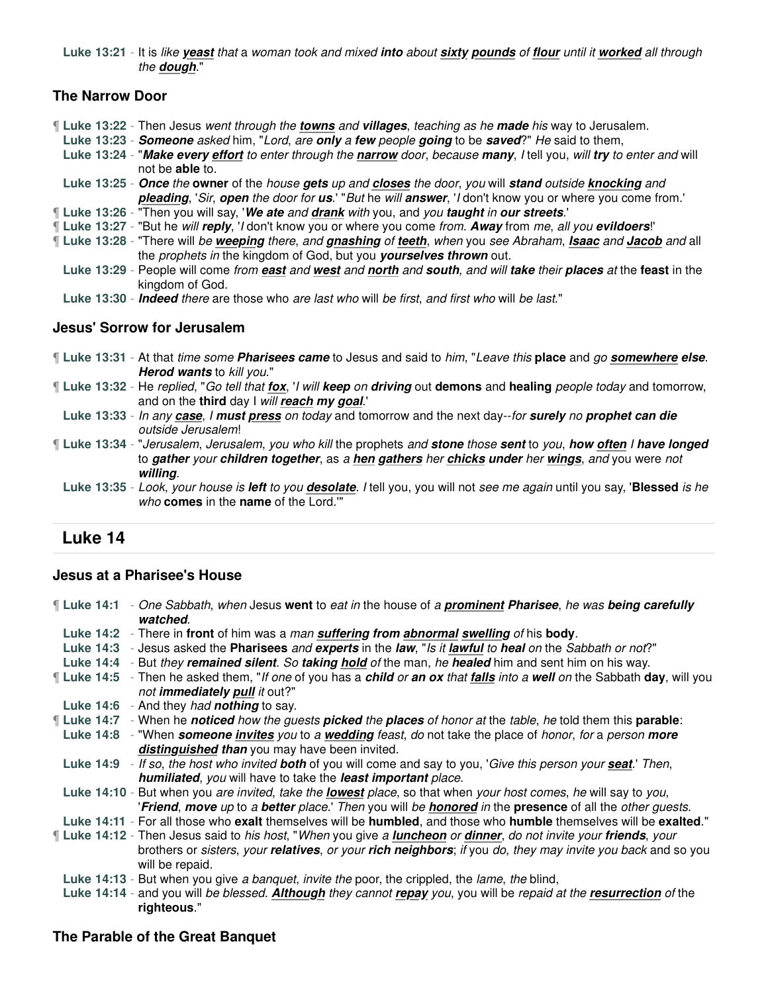**Luke 13:21** - It is like **yeast** that a woman took and mixed **into** about **sixty pounds** of **flour** until it **worked** all through the **dough**."

### **The Narrow Door**

¶ **Luke 13:22** - Then Jesus went through the **towns** and **villages**, teaching as he **made** his way to Jerusalem.

- **Luke 13:23 Someone** asked him, "Lord, are **only** a **few** people **going** to be **saved**?" He said to them,
- **Luke 13:24** "**Make every effort** to enter through the **narrow** door, because **many**, I tell you, will **try** to enter and will not be **able** to.
- **Luke 13:25 Once** the **owner** of the house **gets** up and **closes** the door, you will **stand** outside **knocking** and **pleading**, 'Sir, **open** the door for **us**.' "But he will **answer**, 'I don't know you or where you come from.'
- ¶ **Luke 13:26** "Then you will say, '**We ate** and **drank** with you, and you **taught** in **our streets**.'
- ¶ **Luke 13:27** "But he will **reply**, 'I don't know you or where you come from. **Away** from me, all you **evildoers**!'
- ¶ **Luke 13:28** "There will be **weeping** there, and **gnashing** of **teeth**, when you see Abraham, **Isaac** and **Jacob** and all the prophets in the kingdom of God, but you **yourselves thrown** out.
	- **Luke 13:29** People will come from **east** and **west** and **north** and **south**, and will **take** their **places** at the **feast** in the kingdom of God.
	- **Luke 13:30 Indeed** there are those who are last who will be first, and first who will be last."

### **Jesus' Sorrow for Jerusalem**

- ¶ **Luke 13:31** At that time some **Pharisees came** to Jesus and said to him, "Leave this **place** and go **somewhere else**. **Herod wants** to kill you."
- ¶ **Luke 13:32** He replied, "Go tell that **fox**, 'I will **keep** on **driving** out **demons** and **healing** people today and tomorrow, and on the **third** day I will **reach my goal**.'
	- **Luke 13:33** In any **case**, I **must press** on today and tomorrow and the next day--for **surely** no **prophet can die** outside Jerusalem!
- ¶ **Luke 13:34** "Jerusalem, Jerusalem, you who kill the prophets and **stone** those **sent** to you, **how often** I **have longed** to **gather** your **children together**, as a **hen gathers** her **chicks under** her **wings**, and you were not **willing**.
	- **Luke 13:35** Look, your house is **left** to you **desolate**. I tell you, you will not see me again until you say, '**Blessed** is he who **comes** in the **name** of the Lord.'"

# **Luke 14**

### **Jesus at a Pharisee's House**

- ¶ **Luke 14:1** One Sabbath, when Jesus **went** to eat in the house of a **prominent Pharisee**, he was **being carefully watched**. **Luke 14:2** - There in **front** of him was a man **suffering from abnormal swelling** of his **body**. **Luke 14:3** - Jesus asked the **Pharisees** and **experts** in the **law**, "Is it **lawful** to **heal** on the Sabbath or not?" **Luke 14:4** - But they **remained silent**. So **taking hold** of the man, he **healed** him and sent him on his way. ¶ **Luke 14:5** - Then he asked them, "If one of you has a **child** or **an ox** that **falls** into a **well** on the Sabbath **day**, will you not **immediately pull** it out?" **Luke 14:6** - And they had **nothing** to say. ¶ **Luke 14:7** - When he **noticed** how the guests **picked** the **places** of honor at the table, he told them this **parable**: **Luke 14:8** - "When **someone invites** you to a **wedding** feast, do not take the place of honor, for a person **more distinguished than** you may have been invited. **Luke 14:9** - If so, the host who invited **both** of you will come and say to you, 'Give this person your **seat**.' Then, **humiliated**, you will have to take the **least important** place. **Luke 14:10** - But when you are invited, take the **lowest** place, so that when your host comes, he will say to you, '**Friend**, **move** up to a **better** place.' Then you will be **honored** in the **presence** of all the other guests. **Luke 14:11** - For all those who **exalt** themselves will be **humbled**, and those who **humble** themselves will be **exalted**." ¶ **Luke 14:12** - Then Jesus said to his host, "When you give a **luncheon** or **dinner**, do not invite your **friends**, your brothers or sisters, your **relatives**, or your **rich neighbors**; if you do, they may invite you back and so you will be repaid. **Luke 14:13** - But when you give a banquet, invite the poor, the crippled, the lame, the blind,
	- **Luke 14:14** and you will be blessed. **Although** they cannot **repay** you, you will be repaid at the **resurrection** of the **righteous**."

### **The Parable of the Great Banquet**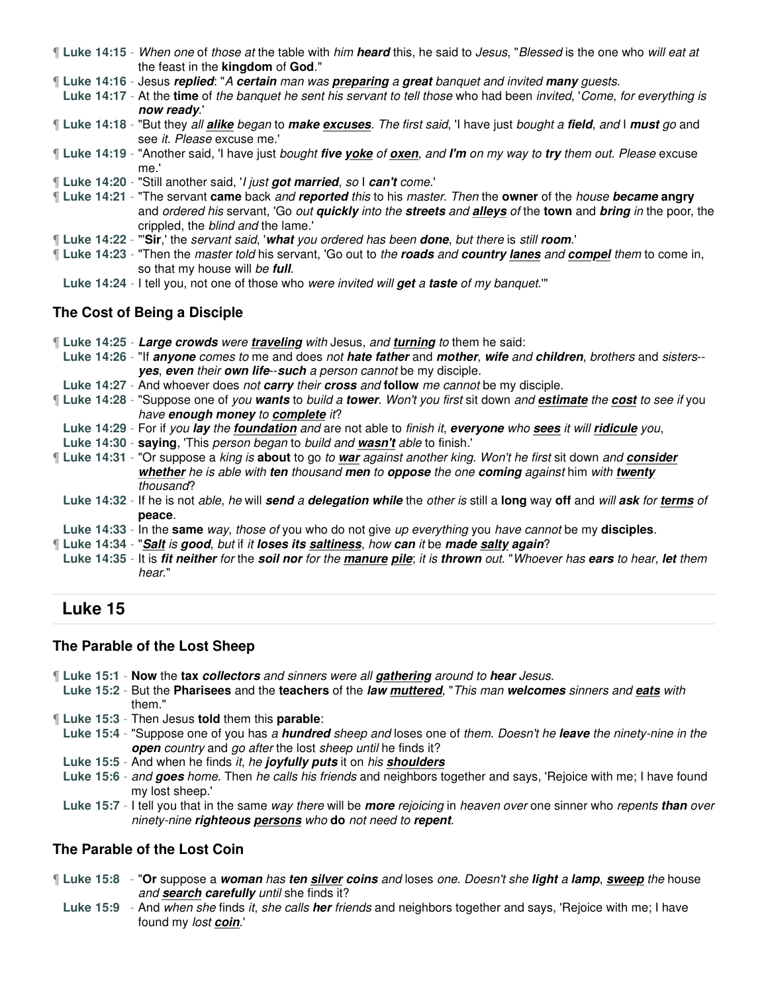- ¶ **Luke 14:15** When one of those at the table with him **heard** this, he said to Jesus, "Blessed is the one who will eat at the feast in the **kingdom** of **God**."
- ¶ **Luke 14:16** Jesus **replied**: "A **certain** man was **preparing** a **great** banquet and invited **many** guests.

**Luke 14:17** - At the **time** of the banquet he sent his servant to tell those who had been invited, 'Come, for everything is **now ready**.'

- ¶ **Luke 14:18** "But they all **alike** began to **make excuses**. The first said, 'I have just bought a **field**, and I **must** go and see it. Please excuse me.'
- ¶ **Luke 14:19** "Another said, 'I have just bought **five yoke** of **oxen**, and **I'm** on my way to **try** them out. Please excuse me.'
- ¶ **Luke 14:20** "Still another said, 'I just **got married**, so I **can't** come.'
- ¶ **Luke 14:21** "The servant **came** back and **reported** this to his master. Then the **owner** of the house **became angry** and ordered his servant, 'Go out **quickly** into the **streets** and **alleys** of the **town** and **bring** in the poor, the crippled, the blind and the lame.'
- ¶ **Luke 14:22** "'**Sir**,' the servant said, '**what** you ordered has been **done**, but there is still **room**.'
- ¶ **Luke 14:23** "Then the master told his servant, 'Go out to the **roads** and **country lanes** and **compel** them to come in, so that my house will be **full**.
- **Luke 14:24** I tell you, not one of those who were invited will **get** a **taste** of my banquet.'"

### **The Cost of Being a Disciple**

¶ **Luke 14:25** - **Large crowds** were **traveling** with Jesus, and **turning** to them he said:

**Luke 14:26** - "If **anyone** comes to me and does not **hate father** and **mother**, **wife** and **children**, brothers and sisters- **yes**, **even** their **own life**--**such** a person cannot be my disciple.

- **Luke 14:27** And whoever does not **carry** their **cross** and **follow** me cannot be my disciple.
- ¶ **Luke 14:28** "Suppose one of you **wants** to build a **tower**. Won't you first sit down and **estimate** the **cost** to see if you have **enough money** to **complete** it?
- **Luke 14:29** For if you **lay** the **foundation** and are not able to finish it, **everyone** who **sees** it will **ridicule** you,
- **Luke 14:30 saying**, 'This person began to build and **wasn't** able to finish.'
- ¶ **Luke 14:31** "Or suppose a king is **about** to go to **war** against another king. Won't he first sit down and **consider whether** he is able with **ten** thousand **men** to **oppose** the one **coming** against him with **twenty** thousand?
- **Luke 14:32** If he is not able, he will **send** a **delegation while** the other is still a **long** way **off** and will **ask** for **terms** of **peace**.
- **Luke 14:33** In the **same** way, those of you who do not give up everything you have cannot be my **disciples**.
- ¶ **Luke 14:34** "**Salt** is **good**, but if it **loses its saltiness**, how **can** it be **made salty again**?
- **Luke 14:35** It is **fit neither** for the **soil nor** for the **manure pile**; it is **thrown** out. "Whoever has **ears** to hear, **let** them hear."

# **Luke 15**

### **The Parable of the Lost Sheep**

- ¶ **Luke 15:1 Now** the **tax collectors** and sinners were all **gathering** around to **hear** Jesus.
- **Luke 15:2** But the **Pharisees** and the **teachers** of the **law muttered**, "This man **welcomes** sinners and **eats** with them."
- ¶ **Luke 15:3** Then Jesus **told** them this **parable**:
- **Luke 15:4** "Suppose one of you has a **hundred** sheep and loses one of them. Doesn't he **leave** the ninety-nine in the **open** country and go after the lost sheep until he finds it?
- **Luke 15:5** And when he finds it, he **joyfully puts** it on his **shoulders**
- **Luke 15:6** and **goes** home. Then he calls his friends and neighbors together and says, 'Rejoice with me; I have found my lost sheep.'
- **Luke 15:7** I tell you that in the same way there will be **more** rejoicing in heaven over one sinner who repents **than** over ninety-nine **righteous persons** who **do** not need to **repent**.

### **The Parable of the Lost Coin**

- ¶ **Luke 15:8** "**Or** suppose a **woman** has **ten silver coins** and loses one. Doesn't she **light** a **lamp**, **sweep** the house and **search carefully** until she finds it?
	- **Luke 15:9** And when she finds it, she calls **her** friends and neighbors together and says, 'Rejoice with me; I have found my lost **coin**.'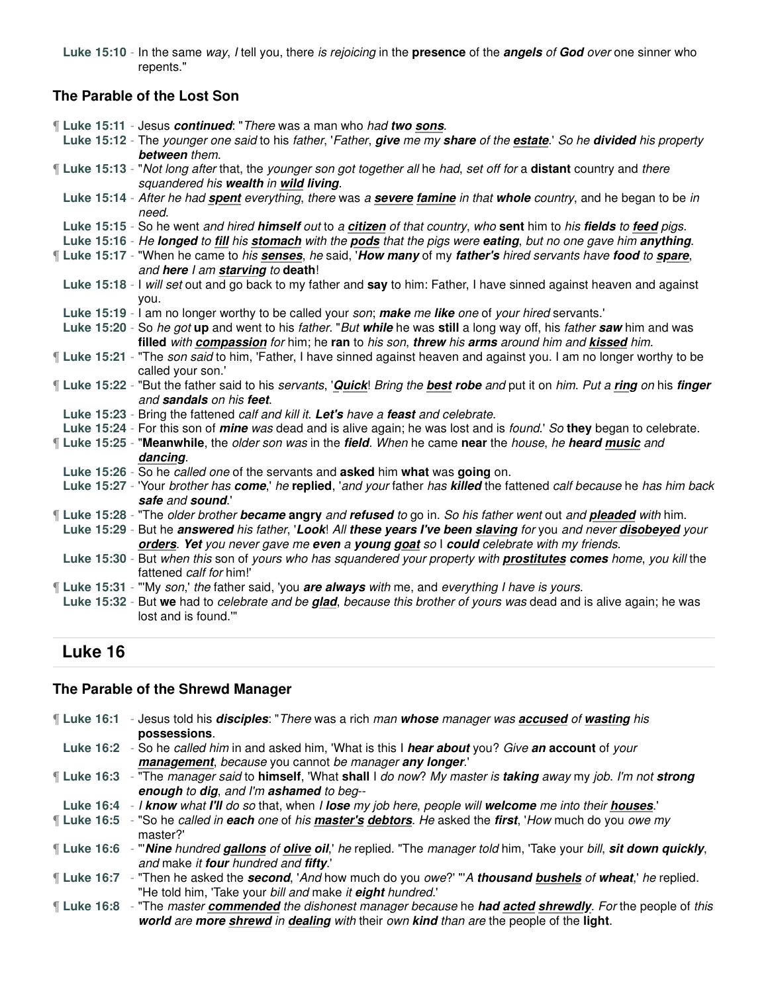**Luke 15:10** - In the same way, I tell you, there is rejoicing in the **presence** of the **angels** of **God** over one sinner who repents."

# **The Parable of the Lost Son**

|  | <b>Luke 15:11</b> - Jesus continued: "There was a man who had two sons.                                                              |
|--|--------------------------------------------------------------------------------------------------------------------------------------|
|  | Luke 15:12 - The younger one said to his father, 'Father, give me my share of the estate.' So he divided his property                |
|  | between them.                                                                                                                        |
|  | Il Luke 15:13 - "Not long after that, the younger son got together all he had, set off for a distant country and there               |
|  | squandered his wealth in wild living.                                                                                                |
|  | Luke 15:14 - After he had spent everything, there was a severe famine in that whole country, and he began to be in                   |
|  | need.                                                                                                                                |
|  | Luke 15:15 - So he went and hired himself out to a citizen of that country, who sent him to his fields to feed pigs.                 |
|  | Luke 15:16 - He longed to fill his stomach with the pods that the pigs were eating, but no one gave him anything.                    |
|  | If Luke 15:17 - "When he came to his senses, he said, 'How many of my father's hired servants have food to spare,                    |
|  | and here I am starving to death!                                                                                                     |
|  | Luke 15:18 - I will set out and go back to my father and say to him: Father, I have sinned against heaven and against                |
|  | vou.                                                                                                                                 |
|  | Luke 15:19 - I am no longer worthy to be called your son; make me like one of your hired servants.'                                  |
|  | Luke 15:20 - So he got up and went to his father. "But while he was still a long way off, his father saw him and was                 |
|  | filled with compassion for him; he ran to his son, threw his arms around him and kissed him.                                         |
|  | I Luke 15:21 - "The son said to him, 'Father, I have sinned against heaven and against you. I am no longer worthy to be              |
|  | called your son.'                                                                                                                    |
|  | Luke 15:22 - "But the father said to his servants, 'Quick! Bring the best robe and put it on him. Put a ring on his finger           |
|  | and sandals on his feet.                                                                                                             |
|  | Luke 15:23 - Bring the fattened calf and kill it. Let's have a feast and celebrate.                                                  |
|  | Luke 15:24 - For this son of <i>mine was</i> dead and is alive again; he was lost and is <i>found.</i> ' So they began to celebrate. |
|  | If Luke 15:25 - "Meanwhile, the older son was in the field. When he came near the house, he heard music and                          |
|  | dancing.                                                                                                                             |
|  | Luke 15:26 - So he called one of the servants and asked him what was going on.                                                       |
|  | Luke 15:27 - 'Your brother has come,' he replied, 'and your father has killed the fattened calf because he has him back              |
|  | safe and sound."                                                                                                                     |
|  | If Luke 15:28 - "The older brother became angry and refused to go in. So his father went out and pleaded with him.                   |
|  | Luke 15:29 - But he answered his father, 'Look! All these years I've been slaving for you and never disobeyed your                   |
|  | orders. Yet you never gave me even a young goat so I could celebrate with my friends.                                                |
|  | Luke 15:30 - But when this son of yours who has squandered your property with <b>prostitutes comes</b> home, you kill the            |
|  | fattened calf for him!'                                                                                                              |
|  | If Luke 15:31 - "My son,' the father said, 'you are always with me, and everything I have is yours.                                  |
|  | Luke 15:32 - But we had to celebrate and be glad, because this brother of yours was dead and is alive again; he was                  |
|  | lost and is found.""                                                                                                                 |

# **Luke 16**

# **The Parable of the Shrewd Manager**

| ¶ Luke 16:1 | - Jesus told his <i>disciples</i> : "There was a rich man whose manager was <b>accused</b> of wasting his              |
|-------------|------------------------------------------------------------------------------------------------------------------------|
|             | possessions.                                                                                                           |
|             | Luke 16:2 - So he called him in and asked him, 'What is this I hear about you? Give an account of your                 |
|             | management, because you cannot be manager any longer."                                                                 |
|             | Luke 16:3 - "The manager said to himself, 'What shall I do now? My master is taking away my job. I'm not strong        |
|             | enough to dig, and I'm ashamed to beg--                                                                                |
|             | Luke 16:4 - I know what I'll do so that, when I lose my job here, people will welcome me into their houses.            |
|             | If Luke 16:5 - "So he called in each one of his master's debtors. He asked the first, 'How much do you owe my          |
|             | master?'                                                                                                               |
|             | [Luke 16:6 - "Wine hundred gallons of olive oil, he replied. "The manager told him, 'Take your bill, sit down quickly, |
|             | and make it four hundred and fifty.'                                                                                   |
|             | [Luke 16:7 - "Then he asked the <b>second</b> , 'And how much do you owe?' "'A thousand bushels of wheat,' he replied. |
|             | "He told him, 'Take your bill and make it eight hundred.'                                                              |
|             | If Luke 16:8 - "The master commended the dishonest manager because he had acted shrewdly. For the people of this       |
|             | world are more shrewd in dealing with their own kind than are the people of the light.                                 |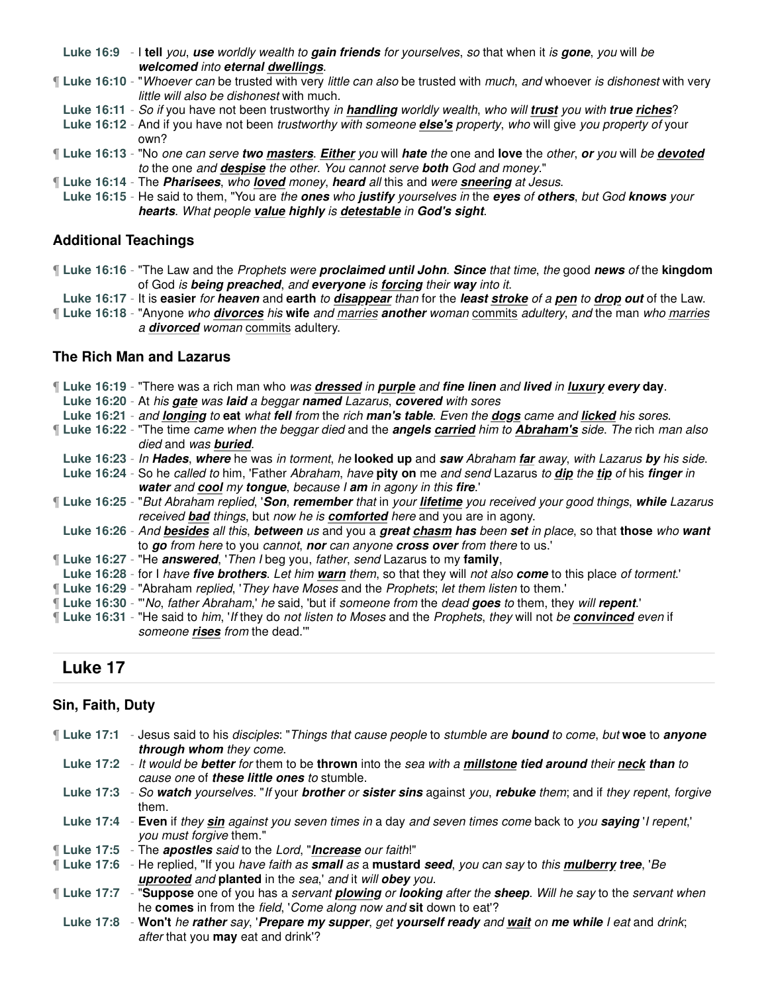**Luke 16:9** - I **tell** you, **use** worldly wealth to **gain friends** for yourselves, so that when it is **gone**, you will be **welcomed** into **eternal dwellings**.

¶ **Luke 16:10** - "Whoever can be trusted with very little can also be trusted with much, and whoever is dishonest with very little will also be dishonest with much.

**Luke 16:11** - So if you have not been trustworthy in **handling** worldly wealth, who will **trust** you with **true riches**?

**Luke 16:12** - And if you have not been trustworthy with someone **else's** property, who will give you property of your own?

¶ **Luke 16:13** - "No one can serve **two masters**. **Either** you will **hate** the one and **love** the other, **or** you will be **devoted** to the one and **despise** the other. You cannot serve **both** God and money."

¶ **Luke 16:14** - The **Pharisees**, who **loved** money, **heard** all this and were **sneering** at Jesus.

**Luke 16:15** - He said to them, "You are the **ones** who **justify** yourselves in the **eyes** of **others**, but God **knows** your **hearts**. What people **value highly** is **detestable** in **God's sight**.

### **Additional Teachings**

¶ **Luke 16:16** - "The Law and the Prophets were **proclaimed until John**. **Since** that time, the good **news** of the **kingdom** of God is **being preached**, and **everyone** is **forcing** their **way** into it.

**Luke 16:17** - It is **easier** for **heaven** and **earth** to **disappear** than for the **least stroke** of a **pen** to **drop out** of the Law.

¶ **Luke 16:18** - "Anyone who **divorces** his **wife** and marries **another** woman commits adultery, and the man who marries a **divorced** woman commits adultery.

### **The Rich Man and Lazarus**

¶ **Luke 16:19** - "There was a rich man who was **dressed** in **purple** and **fine linen** and **lived** in **luxury every day**. **Luke 16:20** - At his **gate** was **laid** a beggar **named** Lazarus, **covered** with sores **Luke 16:21** - and **longing** to **eat** what **fell** from the rich **man's table**. Even the **dogs** came and **licked** his sores. ¶ **Luke 16:22** - "The time came when the beggar died and the **angels carried** him to **Abraham's** side. The rich man also died and was **buried**. **Luke 16:23** - In **Hades**, **where** he was in torment, he **looked up** and **saw** Abraham **far** away, with Lazarus **by** his side. **Luke 16:24** - So he called to him, 'Father Abraham, have **pity on** me and send Lazarus to **dip** the **tip** of his **finger** in **water** and **cool** my **tongue**, because I **am** in agony in this **fire**.' ¶ **Luke 16:25** - "But Abraham replied, '**Son**, **remember** that in your **lifetime** you received your good things, **while** Lazarus received **bad** things, but now he is **comforted** here and you are in agony. **Luke 16:26** - And **besides** all this, **between** us and you a **great chasm has** been **set** in place, so that **those** who **want** to **go** from here to you cannot, **nor** can anyone **cross over** from there to us.' ¶ **Luke 16:27** - "He **answered**, 'Then I beg you, father, send Lazarus to my **family**, **Luke 16:28** - for I have **five brothers**. Let him **warn** them, so that they will not also **come** to this place of torment.' ¶ **Luke 16:29** - "Abraham replied, 'They have Moses and the Prophets; let them listen to them.' ¶ **Luke 16:30** - "'No, father Abraham,' he said, 'but if someone from the dead **goes** to them, they will **repent**.' ¶ **Luke 16:31** - "He said to him, 'If they do not listen to Moses and the Prophets, they will not be **convinced** even if someone **rises** from the dead.'"

# **Luke 17**

# **Sin, Faith, Duty**

| Luke 17:1 - Jesus said to his disciples: "Things that cause people to stumble are bound to come, but woe to anyone |  |  |
|--------------------------------------------------------------------------------------------------------------------|--|--|
| <b>through whom</b> they come.                                                                                     |  |  |

**Luke 17:2** - It would be **better** for them to be **thrown** into the sea with a **millstone tied around** their **neck than** to cause one of **these little ones** to stumble.

**Luke 17:3** - So **watch** yourselves. "If your **brother** or **sister sins** against you, **rebuke** them; and if they repent, forgive them.

**Luke 17:4** - **Even** if they **sin** against you seven times in a day and seven times come back to you **saying** 'I repent,' you must forgive them."

¶ **Luke 17:5** - The **apostles** said to the Lord, "**Increase** our faith!"

¶ **Luke 17:6** - He replied, "If you have faith as **small** as a **mustard seed**, you can say to this **mulberry tree**, 'Be **uprooted** and **planted** in the sea,' and it will **obey** you.

¶ **Luke 17:7** - "**Suppose** one of you has a servant **plowing** or **looking** after the **sheep**. Will he say to the servant when he **comes** in from the field, 'Come along now and **sit** down to eat'?

**Luke 17:8** - **Won't** he **rather** say, '**Prepare my supper**, get **yourself ready** and **wait** on **me while** I eat and drink; after that you **may** eat and drink'?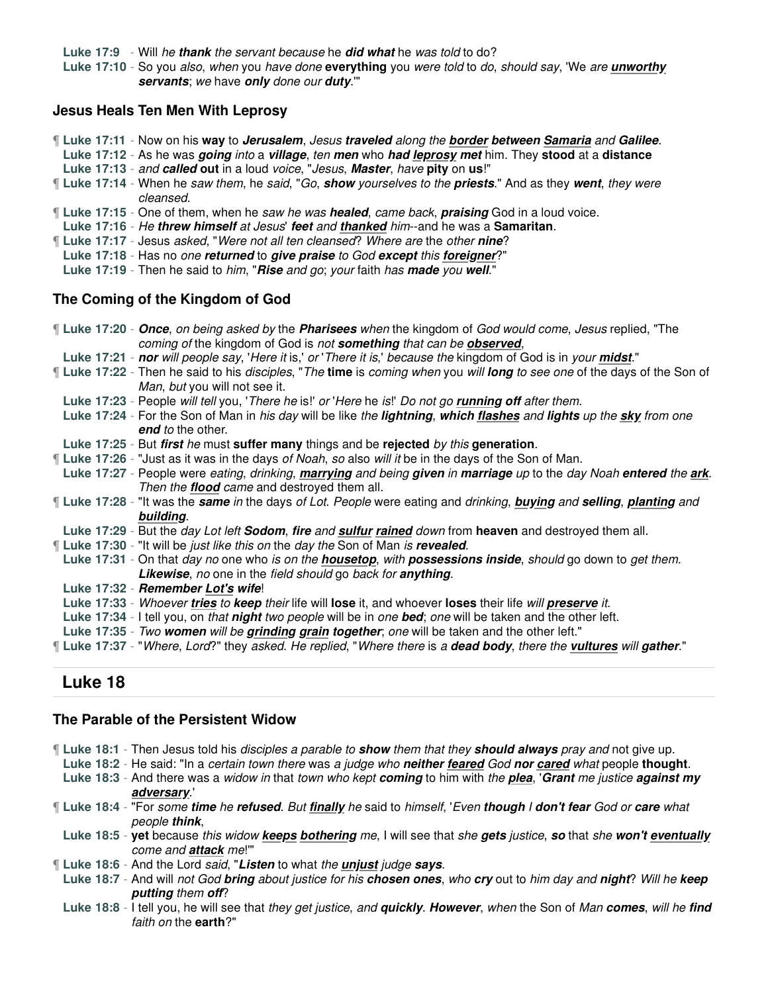**Luke 17:9** - Will he **thank** the servant because he **did what** he was told to do?

**Luke 17:10** - So you also, when you have done **everything** you were told to do, should say, 'We are **unworthy servants**; we have **only** done our **duty**.'"

### **Jesus Heals Ten Men With Leprosy**

- ¶ **Luke 17:11** Now on his **way** to **Jerusalem**, Jesus **traveled** along the **border between Samaria** and **Galilee**.
- **Luke 17:12** As he was **going** into a **village**, ten **men** who **had leprosy met** him. They **stood** at a **distance Luke 17:13** - and **called out** in a loud voice, "Jesus, **Master**, have **pity** on **us**!"
- ¶ **Luke 17:14** When he saw them, he said, "Go, **show** yourselves to the **priests**." And as they **went**, they were cleansed.
- ¶ **Luke 17:15** One of them, when he saw he was **healed**, came back, **praising** God in a loud voice.
- **Luke 17:16** He **threw himself** at Jesus' **feet** and **thanked** him--and he was a **Samaritan**.
- ¶ **Luke 17:17** Jesus asked, "Were not all ten cleansed? Where are the other **nine**?
- **Luke 17:18** Has no one **returned** to **give praise** to God **except** this **foreigner**?"
- **Luke 17:19** Then he said to him, "**Rise** and go; your faith has **made** you **well**."

### **The Coming of the Kingdom of God**

| If Luke 17:20 - Once, on being asked by the Pharisees when the kingdom of God would come, Jesus replied, "The                                                       |
|---------------------------------------------------------------------------------------------------------------------------------------------------------------------|
| coming of the kingdom of God is not something that can be observed,                                                                                                 |
| Luke 17:21 - nor will people say, 'Here it is,' or 'There it is,' because the kingdom of God is in your midst."                                                     |
| If Luke 17:22 - Then he said to his <i>disciples</i> , "The time is coming when you will long to see one of the days of the Son of<br>Man, but you will not see it. |
| Luke 17:23 - People will tell you, 'There he is!' or 'Here he is!' Do not go running off after them.                                                                |
|                                                                                                                                                                     |
| Luke 17:24 - For the Son of Man in his day will be like the lightning, which flashes and lights up the sky from one                                                 |
| end to the other.                                                                                                                                                   |
| Luke 17:25 - But first he must suffer many things and be rejected by this generation.                                                                               |
| <b>Luke 17:26</b> - "Just as it was in the days of Noah, so also will it be in the days of the Son of Man.                                                          |
| Luke 17:27 - People were eating, drinking, marrying and being given in marriage up to the day Noah entered the ark.                                                 |
| Then the <b>flood</b> came and destroyed them all.                                                                                                                  |
| If Luke 17:28 - "It was the <i>same in</i> the days of Lot. People were eating and drinking, <b>buying</b> and selling, planting and                                |
| building.                                                                                                                                                           |
| Luke 17:29 - But the <i>day Lot left <b>Sodom</b></i> , fire and sulfur rained down from heaven and destroyed them all.                                             |
| <b>Luke 17:30</b> - "It will be just like this on the day the Son of Man is revealed.                                                                               |
| Luke 17:31 - On that day no one who is on the <b>housetop</b> , with <b>possessions inside</b> , should go down to get them.                                        |
| <b>Likewise, no one in the field should go back for anything.</b>                                                                                                   |
| Luke 17:32 - Remember Lot's wife!                                                                                                                                   |
| Luke 17:33 - Whoever tries to keep their life will lose it, and whoever loses their life will preserve it.                                                          |
| Luke 17:34 - I tell you, on that night two people will be in one bed; one will be taken and the other left.                                                         |
| Luke 17:35 - Two women will be grinding grain together; one will be taken and the other left."                                                                      |
| "Luke 17:37 - "Where, Lord?" they asked. He replied, "Where there is a <b>dead body</b> , there the <b>vultures</b> will <b>gather</b> ."                           |

# **Luke 18**

### **The Parable of the Persistent Widow**

- ¶ **Luke 18:1** Then Jesus told his disciples a parable to **show** them that they **should always** pray and not give up.
- **Luke 18:2** He said: "In a certain town there was a judge who **neither feared** God **nor cared** what people **thought**.
- **Luke 18:3** And there was a widow in that town who kept **coming** to him with the **plea**, '**Grant** me justice **against my adversary**.'
- ¶ **Luke 18:4** "For some **time** he **refused**. But **finally** he said to himself, 'Even **though** I **don't fear** God or **care** what people **think**,
- **Luke 18:5 yet** because this widow **keeps bothering** me, I will see that she **gets** justice, **so** that she **won't eventually** come and **attack** me!'"
- ¶ **Luke 18:6** And the Lord said, "**Listen** to what the **unjust** judge **says**.
- **Luke 18:7** And will not God **bring** about justice for his **chosen ones**, who **cry** out to him day and **night**? Will he **keep putting** them **off**?
- **Luke 18:8** I tell you, he will see that they get justice, and **quickly**. **However**, when the Son of Man **comes**, will he **find** faith on the **earth**?"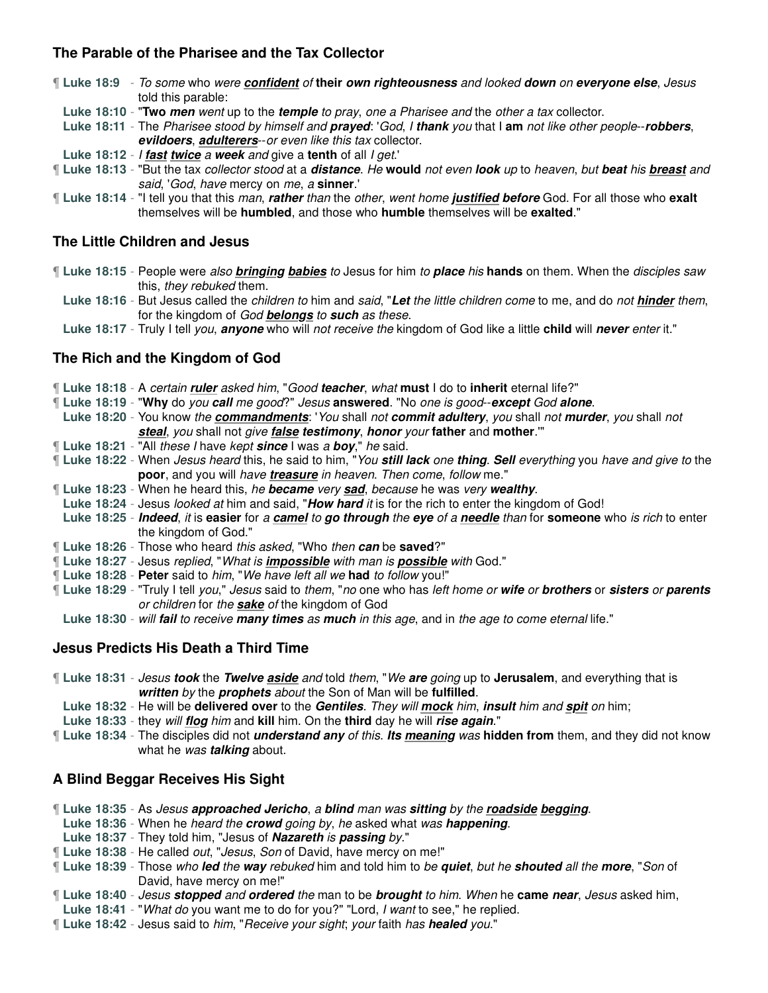## **The Parable of the Pharisee and the Tax Collector**

¶ **Luke 18:9** - To some who were **confident** of **their own righteousness** and looked **down** on **everyone else**, Jesus told this parable:

**Luke 18:10** - "**Two men** went up to the **temple** to pray, one a Pharisee and the other a tax collector.

**Luke 18:11** - The Pharisee stood by himself and **prayed**: 'God, I **thank** you that I **am** not like other people--**robbers**, **evildoers**, **adulterers**--or even like this tax collector.

- **Luke 18:12** I **fast twice** a **week** and give a **tenth** of all I get.'
- ¶ **Luke 18:13** "But the tax collector stood at a **distance**. He **would** not even **look** up to heaven, but **beat** his **breast** and said, 'God, have mercy on me, a **sinner**.'
- ¶ **Luke 18:14** "I tell you that this man, **rather** than the other, went home **justified before** God. For all those who **exalt** themselves will be **humbled**, and those who **humble** themselves will be **exalted**."

### **The Little Children and Jesus**

- ¶ **Luke 18:15** People were also **bringing babies** to Jesus for him to **place** his **hands** on them. When the disciples saw this, they rebuked them.
	- **Luke 18:16** But Jesus called the children to him and said, "**Let** the little children come to me, and do not **hinder** them, for the kingdom of God **belongs** to **such** as these.
	- **Luke 18:17** Truly I tell you, **anyone** who will not receive the kingdom of God like a little **child** will **never** enter it."

## **The Rich and the Kingdom of God**

¶ **Luke 18:18** - A certain **ruler** asked him, "Good **teacher**, what **must** I do to **inherit** eternal life?"

- ¶ **Luke 18:19** "**Why** do you **call** me good?" Jesus **answered**. "No one is good--**except** God **alone**.
	- **Luke 18:20** You know the **commandments**: 'You shall not **commit adultery**, you shall not **murder**, you shall not **steal**, you shall not give **false testimony**, **honor** your **father** and **mother**.'"
- ¶ **Luke 18:21** "All these I have kept **since** I was a **boy**," he said.
- ¶ **Luke 18:22** When Jesus heard this, he said to him, "You **still lack** one **thing**. **Sell** everything you have and give to the **poor**, and you will have **treasure** in heaven. Then come, follow me."
- ¶ **Luke 18:23** When he heard this, he **became** very **sad**, because he was very **wealthy**.
- **Luke 18:24** Jesus looked at him and said, "**How hard** it is for the rich to enter the kingdom of God!
- **Luke 18:25 Indeed**, it is **easier** for a **camel** to **go through** the **eye** of a **needle** than for **someone** who is rich to enter the kingdom of God."
- ¶ **Luke 18:26** Those who heard this asked, "Who then **can** be **saved**?"
- ¶ **Luke 18:27** Jesus replied, "What is **impossible** with man is **possible** with God."
- ¶ **Luke 18:28 Peter** said to him, "We have left all we **had** to follow you!"
- ¶ **Luke 18:29** "Truly I tell you," Jesus said to them, "no one who has left home or **wife** or **brothers** or **sisters** or **parents** or children for the **sake** of the kingdom of God
- **Luke 18:30** will **fail** to receive **many times** as **much** in this age, and in the age to come eternal life."

### **Jesus Predicts His Death a Third Time**

- ¶ **Luke 18:31** Jesus **took** the **Twelve aside** and told them, "We **are** going up to **Jerusalem**, and everything that is **written** by the **prophets** about the Son of Man will be **fulfilled**.
	- **Luke 18:32** He will be **delivered over** to the **Gentiles**. They will **mock** him, **insult** him and **spit** on him;
- **Luke 18:33** they will **flog** him and **kill** him. On the **third** day he will **rise again**."
- ¶ **Luke 18:34** The disciples did not **understand any** of this. **Its meaning** was **hidden from** them, and they did not know what he was **talking** about.

### **A Blind Beggar Receives His Sight**

- ¶ **Luke 18:35** As Jesus **approached Jericho**, a **blind** man was **sitting** by the **roadside begging**.
- **Luke 18:36** When he heard the **crowd** going by, he asked what was **happening**.
- **Luke 18:37** They told him, "Jesus of **Nazareth** is **passing** by."
- ¶ **Luke 18:38** He called out, "Jesus, Son of David, have mercy on me!"
- ¶ **Luke 18:39** Those who **led** the **way** rebuked him and told him to be **quiet**, but he **shouted** all the **more**, "Son of David, have mercy on me!"
- ¶ **Luke 18:40** Jesus **stopped** and **ordered** the man to be **brought** to him. When he **came near**, Jesus asked him,
- **Luke 18:41** "What do you want me to do for you?" "Lord, I want to see," he replied.
- ¶ **Luke 18:42** Jesus said to him, "Receive your sight; your faith has **healed** you."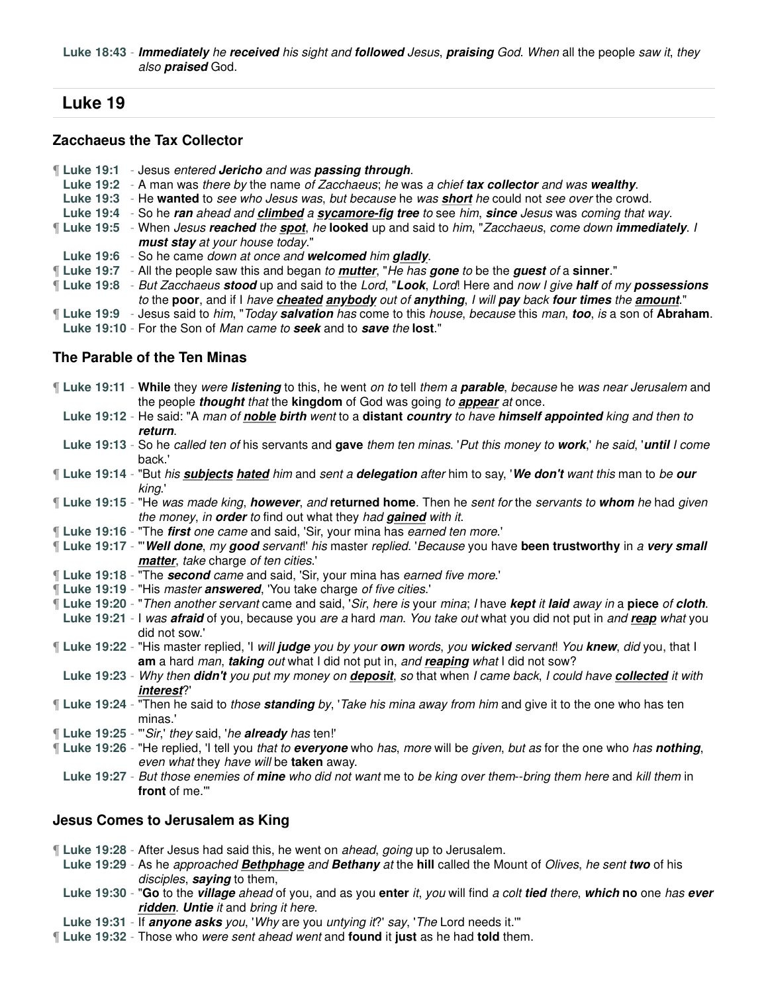**Luke 18:43** - **Immediately** he **received** his sight and **followed** Jesus, **praising** God. When all the people saw it, they also **praised** God.

# **Luke 19**

### **Zacchaeus the Tax Collector**

- ¶ **Luke 19:1** Jesus entered **Jericho** and was **passing through**.
- **Luke 19:2** A man was there by the name of Zacchaeus; he was a chief **tax collector** and was **wealthy**.
- **Luke 19:3** He **wanted** to see who Jesus was, but because he was **short** he could not see over the crowd.
- **Luke 19:4** So he **ran** ahead and **climbed** a **sycamore-fig tree** to see him, **since** Jesus was coming that way.
- ¶ **Luke 19:5** When Jesus **reached** the **spot**, he **looked** up and said to him, "Zacchaeus, come down **immediately**. I **must stay** at your house today."
- **Luke 19:6** So he came down at once and **welcomed** him **gladly**.
- ¶ **Luke 19:7** All the people saw this and began to **mutter**, "He has **gone** to be the **guest** of a **sinner**."
- ¶ **Luke 19:8** But Zacchaeus **stood** up and said to the Lord, "**Look**, Lord! Here and now I give **half** of my **possessions** to the **poor**, and if I have **cheated anybody** out of **anything**, I will **pay** back **four times** the **amount**."
- ¶ **Luke 19:9** Jesus said to him, "Today **salvation** has come to this house, because this man, **too**, is a son of **Abraham**. **Luke 19:10** - For the Son of Man came to **seek** and to **save** the **lost**."

### **The Parable of the Ten Minas**

- ¶ **Luke 19:11 While** they were **listening** to this, he went on to tell them a **parable**, because he was near Jerusalem and the people **thought** that the **kingdom** of God was going to **appear** at once.
- **Luke 19:12** He said: "A man of **noble birth** went to a **distant country** to have **himself appointed** king and then to **return**.
- **Luke 19:13** So he called ten of his servants and **gave** them ten minas. 'Put this money to **work**,' he said, '**until** I come back.'
- ¶ **Luke 19:14** "But his **subjects hated** him and sent a **delegation** after him to say, '**We don't** want this man to be **our** king.'
- ¶ **Luke 19:15** "He was made king, **however**, and **returned home**. Then he sent for the servants to **whom** he had given the money, in **order** to find out what they had **gained** with it.
- ¶ **Luke 19:16** "The **first** one came and said, 'Sir, your mina has earned ten more.'
- ¶ **Luke 19:17** "'**Well done**, my **good** servant!' his master replied. 'Because you have **been trustworthy** in a **very small matter**, take charge of ten cities.'
- ¶ **Luke 19:18** "The **second** came and said, 'Sir, your mina has earned five more.'
- ¶ **Luke 19:19** "His master **answered**, 'You take charge of five cities.'
- ¶ **Luke 19:20** "Then another servant came and said, 'Sir, here is your mina; I have **kept** it **laid** away in a **piece** of **cloth**.
- **Luke 19:21** I was **afraid** of you, because you are a hard man. You take out what you did not put in and **reap** what you did not sow.'
- ¶ **Luke 19:22** "His master replied, 'I will **judge** you by your **own** words, you **wicked** servant! You **knew**, did you, that I **am** a hard man, **taking** out what I did not put in, and **reaping** what I did not sow?
- **Luke 19:23** Why then **didn't** you put my money on **deposit**, so that when I came back, I could have **collected** it with **interest**?'
- ¶ **Luke 19:24** "Then he said to those **standing** by, 'Take his mina away from him and give it to the one who has ten minas.'
- ¶ **Luke 19:25** "'Sir,' they said, 'he **already** has ten!'
- ¶ **Luke 19:26** "He replied, 'I tell you that to **everyone** who has, more will be given, but as for the one who has **nothing**, even what they have will be **taken** away.
- **Luke 19:27** But those enemies of **mine** who did not want me to be king over them--bring them here and kill them in **front** of me.'"

### **Jesus Comes to Jerusalem as King**

- ¶ **Luke 19:28** After Jesus had said this, he went on ahead, going up to Jerusalem.
	- **Luke 19:29** As he approached **Bethphage** and **Bethany** at the **hill** called the Mount of Olives, he sent **two** of his disciples, **saying** to them,
	- **Luke 19:30** "**Go** to the **village** ahead of you, and as you **enter** it, you will find a colt **tied** there, **which no** one has **ever ridden**. **Untie** it and bring it here.
- **Luke 19:31** If **anyone asks** you, 'Why are you untying it?' say, 'The Lord needs it.'"
- ¶ **Luke 19:32** Those who were sent ahead went and **found** it **just** as he had **told** them.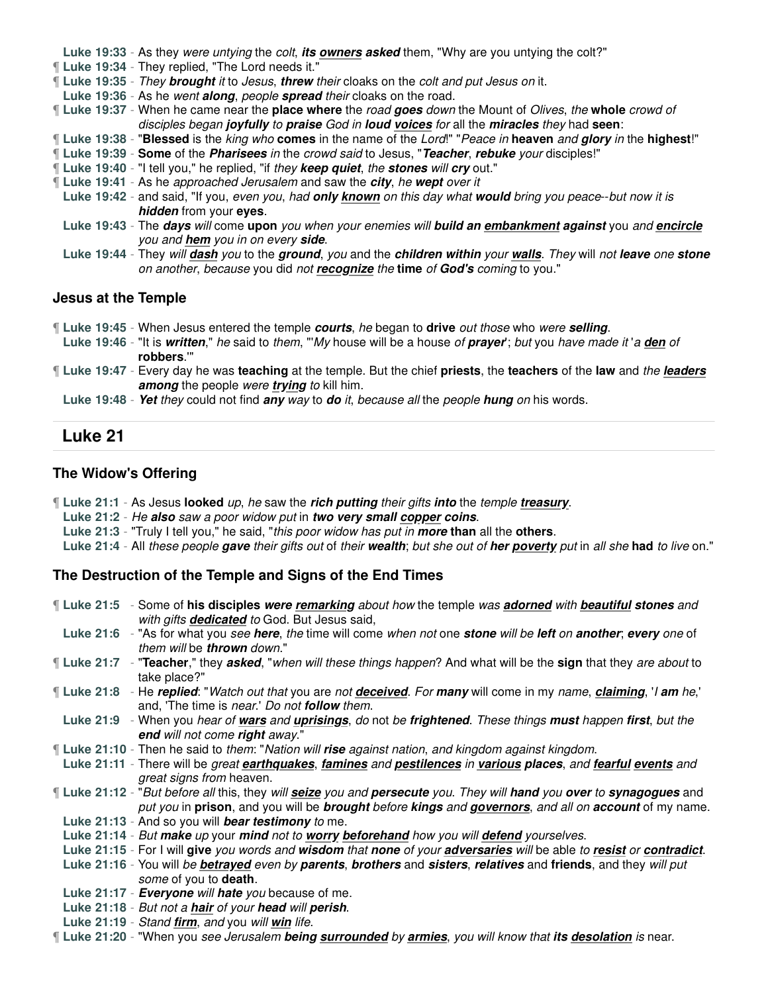**Luke 19:33** - As they were untying the colt, **its owners asked** them, "Why are you untying the colt?"

¶ **Luke 19:34** - They replied, "The Lord needs it."

¶ **Luke 19:35** - They **brought** it to Jesus, **threw** their cloaks on the colt and put Jesus on it.

**Luke 19:36** - As he went **along**, people **spread** their cloaks on the road.

¶ **Luke 19:37** - When he came near the **place where** the road **goes** down the Mount of Olives, the **whole** crowd of disciples began **joyfully** to **praise** God in **loud voices** for all the **miracles** they had **seen**:

- ¶ **Luke 19:38** "**Blessed** is the king who **comes** in the name of the Lord!" "Peace in **heaven** and **glory** in the **highest**!"
- ¶ **Luke 19:39 Some** of the **Pharisees** in the crowd said to Jesus, "**Teacher**, **rebuke** your disciples!"
- ¶ **Luke 19:40** "I tell you," he replied, "if they **keep quiet**, the **stones** will **cry** out."
- ¶ **Luke 19:41** As he approached Jerusalem and saw the **city**, he **wept** over it
	- **Luke 19:42** and said, "If you, even you, had **only known** on this day what **would** bring you peace--but now it is **hidden** from your **eyes**.
	- **Luke 19:43** The **days** will come **upon** you when your enemies will **build an embankment against** you and **encircle** you and **hem** you in on every **side**.
	- **Luke 19:44** They will **dash** you to the **ground**, you and the **children within** your **walls**. They will not **leave** one **stone** on another, because you did not **recognize** the **time** of **God's** coming to you."

### **Jesus at the Temple**

- ¶ **Luke 19:45** When Jesus entered the temple **courts**, he began to **drive** out those who were **selling**.
- **Luke 19:46** "It is **written**," he said to them, "'My house will be a house of **prayer**'; but you have made it 'a **den** of **robbers**.'"

¶ **Luke 19:47** - Every day he was **teaching** at the temple. But the chief **priests**, the **teachers** of the **law** and the **leaders among** the people were **trying** to kill him.

**Luke 19:48** - **Yet** they could not find **any** way to **do** it, because all the people **hung** on his words.

# **Luke 21**

### **The Widow's Offering**

- ¶ **Luke 21:1** As Jesus **looked** up, he saw the **rich putting** their gifts **into** the temple **treasury**.
- **Luke 21:2** He **also** saw a poor widow put in **two very small copper coins**.
- **Luke 21:3** "Truly I tell you," he said, "this poor widow has put in **more than** all the **others**.

**Luke 21:4** - All these people **gave** their gifts out of their **wealth**; but she out of **her poverty** put in all she **had** to live on."

### **The Destruction of the Temple and Signs of the End Times**

| If Luke 21:5 - Some of his disciples were remarking about how the temple was adorned with beautiful stones and<br>with gifts <b>dedicated</b> to God. But Jesus said,                                                                          |
|------------------------------------------------------------------------------------------------------------------------------------------------------------------------------------------------------------------------------------------------|
| Luke 21:6 - "As for what you see here, the time will come when not one stone will be left on another; every one of<br>them will be <b>thrown</b> down."                                                                                        |
| <b>Luke 21:7</b> - "Teacher," they asked, "when will these things happen? And what will be the sign that they are about to<br>take place?"                                                                                                     |
| [Luke 21:8 - He replied: "Watch out that you are not <b>deceived</b> . For many will come in my name, <i>claiming</i> , ' <i>l am he</i> ,'<br>and, 'The time is <i>near.' Do not <b>follow</b> them.</i>                                      |
| Luke 21:9 - When you hear of wars and uprisings, do not be frightened. These things must happen first, but the<br>end will not come right away."                                                                                               |
| <b>Luke 21:10</b> - Then he said to them: "Nation will rise against nation, and kingdom against kingdom.                                                                                                                                       |
| Luke 21:11 - There will be great earthquakes, famines and pestilences in various places, and fearful events and<br>great signs from heaven.                                                                                                    |
| If Luke 21:12 - "But before all this, they will seize you and persecute you. They will hand you over to synagogues and<br>put you in <b>prison</b> , and you will be <b>brought</b> before kings and governors, and all on account of my name. |
| Luke 21:13 - And so you will bear testimony to me.                                                                                                                                                                                             |
| Luke 21:14 - But make up your mind not to worry beforehand how you will defend yourselves.                                                                                                                                                     |
| Luke 21:15 - For I will give you words and wisdom that none of your adversaries will be able to resist or contradict.                                                                                                                          |
| Luke 21:16 - You will be betrayed even by parents, brothers and sisters, relatives and friends, and they will put                                                                                                                              |
| some of you to death.                                                                                                                                                                                                                          |
| Luke 21:17 - Everyone will hate you because of me.                                                                                                                                                                                             |
| Luke 21:18 - But not a hair of your head will perish.                                                                                                                                                                                          |
|                                                                                                                                                                                                                                                |

- **Luke 21:19** Stand **firm**, and you will **win** life.
- ¶ **Luke 21:20** "When you see Jerusalem **being surrounded** by **armies**, you will know that **its desolation** is near.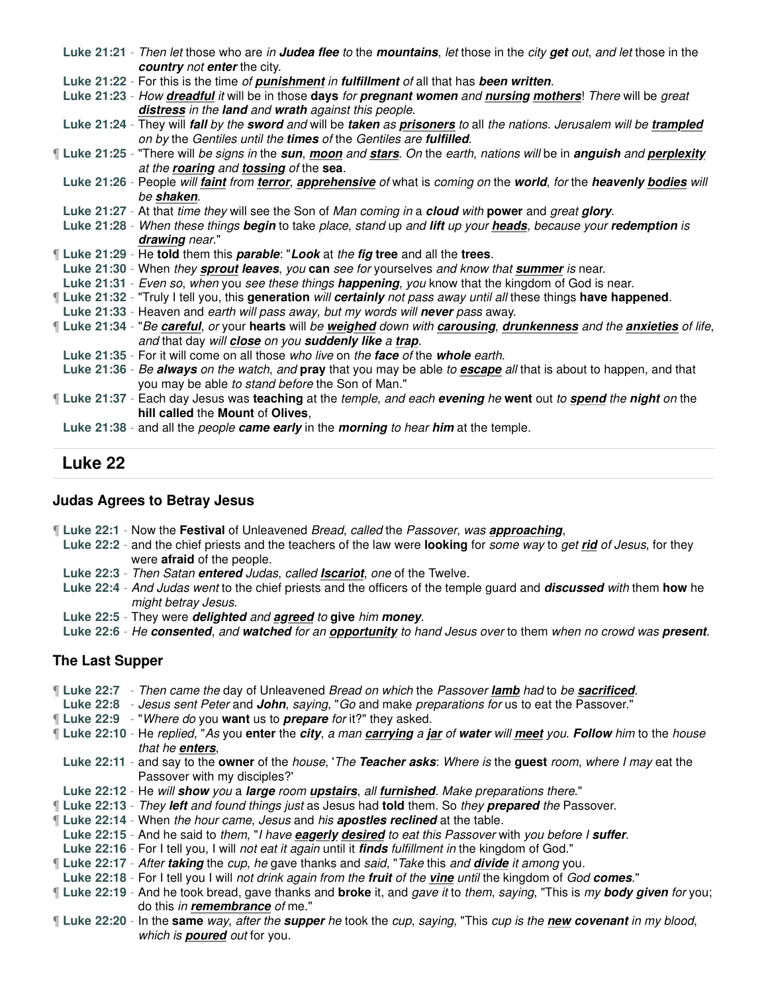| Luke 21:21 - Then let those who are in Judea flee to the mountains, let those in the city get out, and let those in the       |
|-------------------------------------------------------------------------------------------------------------------------------|
| country not enter the city.                                                                                                   |
| Luke 21:22 - For this is the time of punishment in fulfillment of all that has been written.                                  |
| Luke 21:23 - How dreadful it will be in those days for pregnant women and nursing mothers! There will be great                |
| distress in the land and wrath against this people.                                                                           |
| Luke 21:24 - They will fall by the sword and will be taken as prisoners to all the nations. Jerusalem will be trampled        |
| on by the Gentiles until the times of the Gentiles are fulfilled.                                                             |
| If Luke 21:25 - "There will be signs in the sun, moon and stars. On the earth, nations will be in anguish and perplexity      |
| at the roaring and tossing of the sea.                                                                                        |
| Luke 21:26 - People will <i>faint from terror</i> , apprehensive of what is coming on the world, for the heavenly bodies will |
| be shaken.                                                                                                                    |
| Luke 21:27 - At that time they will see the Son of Man coming in a cloud with power and great glory.                          |
| Luke 21:28 - When these things begin to take place, stand up and lift up your heads, because your redemption is               |
| drawing near."                                                                                                                |
| <b>Luke 21:29 - He told them this parable: "Look at the fig tree and all the trees.</b>                                       |
| Luke 21:30 - When they sprout leaves, you can see for yourselves and know that summer is near.                                |
| Luke 21:31 - Even so, when you see these things happening, you know that the kingdom of God is near.                          |
| ¶ Luke 21:32 - "Truly I tell you, this generation will certainly not pass away until all these things have happened.          |
| Luke 21:33 - Heaven and earth will pass away, but my words will never pass away.                                              |
| If Luke 21:34 - "Be careful, or your hearts will be weighed down with carousing, drunkenness and the anxieties of life,       |
| and that day will close on you suddenly like a trap.                                                                          |
| Luke 21:35 - For it will come on all those who live on the face of the whole earth.                                           |
| Luke 21:36 - Be always on the watch, and pray that you may be able to escape all that is about to happen, and that            |
| you may be able to stand before the Son of Man."                                                                              |
| If Luke 21:37 - Each day Jesus was teaching at the temple, and each evening he went out to spend the night on the             |
| hill called the Mount of Olives,                                                                                              |
| Luke 21:38 - and all the <i>people <b>came early</b></i> in the <i>morning to hear him</i> at the temple.                     |

# **Luke 22**

### **Judas Agrees to Betray Jesus**

- ¶ **Luke 22:1** Now the **Festival** of Unleavened Bread, called the Passover, was **approaching**,
- **Luke 22:2** and the chief priests and the teachers of the law were **looking** for some way to get **rid** of Jesus, for they were **afraid** of the people.
- **Luke 22:3** Then Satan **entered** Judas, called **Iscariot**, one of the Twelve.
- **Luke 22:4** And Judas went to the chief priests and the officers of the temple guard and **discussed** with them **how** he might betray Jesus.
- **Luke 22:5** They were **delighted** and **agreed** to **give** him **money**.
- **Luke 22:6** He **consented**, and **watched** for an **opportunity** to hand Jesus over to them when no crowd was **present**.

### **The Last Supper**

- ¶ **Luke 22:7** Then came the day of Unleavened Bread on which the Passover **lamb** had to be **sacrificed**.
- **Luke 22:8** Jesus sent Peter and **John**, saying, "Go and make preparations for us to eat the Passover."
- ¶ **Luke 22:9** "Where do you **want** us to **prepare** for it?" they asked.
- ¶ **Luke 22:10** He replied, "As you **enter** the **city**, a man **carrying** a **jar** of **water** will **meet** you. **Follow** him to the house that he **enters**,
- **Luke 22:11** and say to the **owner** of the house, 'The **Teacher asks**: Where is the **guest** room, where I may eat the Passover with my disciples?'
- **Luke 22:12** He will **show** you a **large** room **upstairs**, all **furnished**. Make preparations there."
- ¶ **Luke 22:13** They **left** and found things just as Jesus had **told** them. So they **prepared** the Passover.
- ¶ **Luke 22:14** When the hour came, Jesus and his **apostles reclined** at the table.
- **Luke 22:15** And he said to them, "I have **eagerly desired** to eat this Passover with you before I **suffer**.
- **Luke 22:16** For I tell you, I will not eat it again until it **finds** fulfillment in the kingdom of God."
- ¶ **Luke 22:17** After **taking** the cup, he gave thanks and said, "Take this and **divide** it among you.
- **Luke 22:18** For I tell you I will not drink again from the **fruit** of the **vine** until the kingdom of God **comes**."
- ¶ **Luke 22:19** And he took bread, gave thanks and **broke** it, and gave it to them, saying, "This is my **body given** for you; do this in **remembrance** of me."
- ¶ **Luke 22:20** In the **same** way, after the **supper** he took the cup, saying, "This cup is the **new covenant** in my blood, which is **poured** out for you.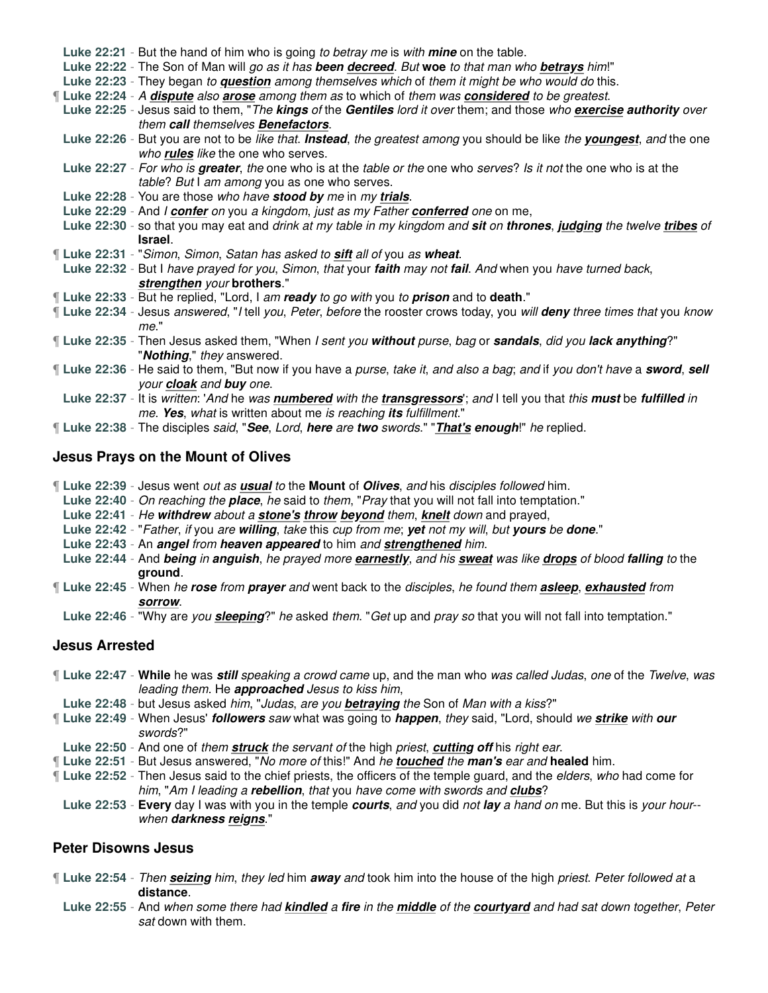| Luke 22:21 - But the hand of him who is going to betray me is with mine on the table.                                       |
|-----------------------------------------------------------------------------------------------------------------------------|
| Luke 22:22 - The Son of Man will go as it has been decreed. But woe to that man who betrays him!"                           |
| Luke 22:23 - They began to question among themselves which of them it might be who would do this.                           |
| If Luke 22:24 - A dispute also arose among them as to which of them was considered to be greatest.                          |
| Luke 22:25 - Jesus said to them, "The kings of the Gentiles lord it over them; and those who exercise authority over        |
| them call themselves <b>Benefactors</b> .                                                                                   |
| Luke 22:26 - But you are not to be like that. Instead, the greatest among you should be like the youngest, and the one      |
| who rules like the one who serves.                                                                                          |
| Luke 22:27 - For who is greater, the one who is at the table or the one who serves? Is it not the one who is at the         |
| table? But I am among you as one who serves.                                                                                |
| Luke 22:28 - You are those who have stood by me in my trials.                                                               |
| Luke 22:29 - And I confer on you a kingdom, just as my Father conferred one on me,                                          |
| Luke 22:30 - so that you may eat and drink at my table in my kingdom and sit on thrones, judging the twelve tribes of       |
| Israel.                                                                                                                     |
|                                                                                                                             |
| If Luke 22:31 - "Simon, Simon, Satan has asked to sift all of you as wheat.                                                 |
| Luke 22:32 - But I have prayed for you, Simon, that your faith may not fail. And when you have turned back,                 |
| strengthen your brothers."                                                                                                  |
| ¶ Luke 22:33 - But he replied, "Lord, I am ready to go with you to prison and to death."                                    |
| If Luke 22:34 - Jesus answered, "I tell you, Peter, before the rooster crows today, you will deny three times that you know |
| me."                                                                                                                        |
| ¶ Luke 22:35 - Then Jesus asked them, "When I sent you without purse, bag or sandals, did you lack anything?"               |
| "Nothing," they answered.                                                                                                   |
| If Luke 22:36 - He said to them, "But now if you have a purse, take it, and also a bag; and if you don't have a sword, sell |
| your cloak and buy one.                                                                                                     |
| Luke 22:37 - It is written: 'And he was numbered with the transgressors'; and I tell you that this must be fulfilled in     |
| me. Yes, what is written about me is reaching its fulfillment."                                                             |

¶ **Luke 22:38** - The disciples said, "**See**, Lord, **here** are **two** swords." "**That's enough**!" he replied.

### **Jesus Prays on the Mount of Olives**

- ¶ **Luke 22:39** Jesus went out as **usual** to the **Mount** of **Olives**, and his disciples followed him.
- **Luke 22:40** On reaching the **place**, he said to them, "Pray that you will not fall into temptation."
- **Luke 22:41** He **withdrew** about a **stone's throw beyond** them, **knelt** down and prayed,
- **Luke 22:42** "Father, if you are **willing**, take this cup from me; **yet** not my will, but **yours** be **done**."
- **Luke 22:43** An **angel** from **heaven appeared** to him and **strengthened** him.
- **Luke 22:44** And **being** in **anguish**, he prayed more **earnestly**, and his **sweat** was like **drops** of blood **falling** to the **ground**.
- ¶ **Luke 22:45** When he **rose** from **prayer** and went back to the disciples, he found them **asleep**, **exhausted** from **sorrow**.
- **Luke 22:46** "Why are you **sleeping**?" he asked them. "Get up and pray so that you will not fall into temptation."

### **Jesus Arrested**

- ¶ **Luke 22:47 While** he was **still** speaking a crowd came up, and the man who was called Judas, one of the Twelve, was leading them. He **approached** Jesus to kiss him,
- **Luke 22:48** but Jesus asked him, "Judas, are you **betraying** the Son of Man with a kiss?"
- ¶ **Luke 22:49** When Jesus' **followers** saw what was going to **happen**, they said, "Lord, should we **strike** with **our** swords?"
- **Luke 22:50** And one of them **struck** the servant of the high priest, **cutting off** his right ear.
- ¶ **Luke 22:51** But Jesus answered, "No more of this!" And he **touched** the **man's** ear and **healed** him.
- ¶ **Luke 22:52** Then Jesus said to the chief priests, the officers of the temple guard, and the elders, who had come for him, "Am I leading a **rebellion**, that you have come with swords and **clubs**?
	- **Luke 22:53 Every** day I was with you in the temple **courts**, and you did not **lay** a hand on me. But this is your hour- when **darkness reigns**."

### **Peter Disowns Jesus**

- ¶ **Luke 22:54** Then **seizing** him, they led him **away** and took him into the house of the high priest. Peter followed at a **distance**.
	- **Luke 22:55** And when some there had **kindled** a **fire** in the **middle** of the **courtyard** and had sat down together, Peter sat down with them.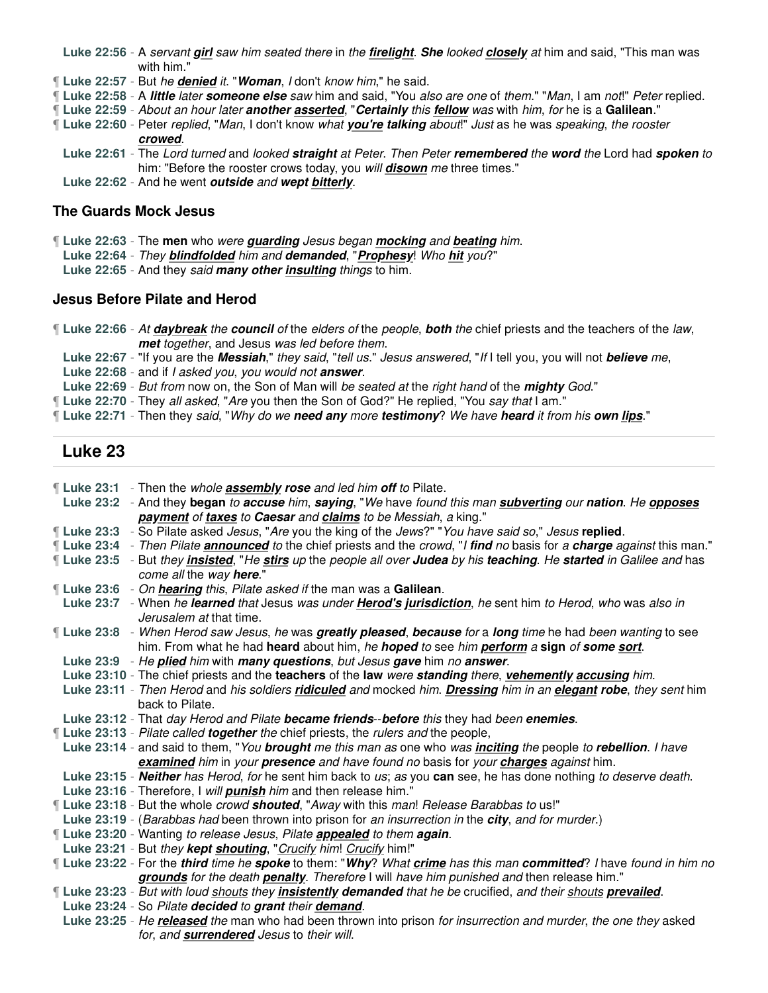- **Luke 22:56** A servant **girl** saw him seated there in the **firelight**. **She** looked **closely** at him and said, "This man was with him."
- ¶ **Luke 22:57** But he **denied** it. "**Woman**, I don't know him," he said.
- ¶ **Luke 22:58** A **little** later **someone else** saw him and said, "You also are one of them." "Man, I am not!" Peter replied.
- ¶ **Luke 22:59** About an hour later **another asserted**, "**Certainly** this **fellow** was with him, for he is a **Galilean**."
- ¶ **Luke 22:60** Peter replied, "Man, I don't know what **you're talking** about!" Just as he was speaking, the rooster **crowed**.
	- **Luke 22:61** The Lord turned and looked **straight** at Peter. Then Peter **remembered** the **word** the Lord had **spoken** to him: "Before the rooster crows today, you will **disown** me three times."
- **Luke 22:62** And he went **outside** and **wept bitterly**.

### **The Guards Mock Jesus**

- ¶ **Luke 22:63** The **men** who were **guarding** Jesus began **mocking** and **beating** him.
- **Luke 22:64** They **blindfolded** him and **demanded**, "**Prophesy**! Who **hit** you?"
- **Luke 22:65** And they said **many other insulting** things to him.

### **Jesus Before Pilate and Herod**

¶ **Luke 22:66** - At **daybreak** the **council** of the elders of the people, **both** the chief priests and the teachers of the law, **met** together, and Jesus was led before them.

**Luke 22:67** - "If you are the **Messiah**," they said, "tell us." Jesus answered, "If I tell you, you will not **believe** me,

- **Luke 22:68** and if I asked you, you would not **answer**.
- **Luke 22:69** But from now on, the Son of Man will be seated at the right hand of the **mighty** God."
- ¶ **Luke 22:70** They all asked, "Are you then the Son of God?" He replied, "You say that I am."
- ¶ **Luke 22:71** Then they said, "Why do we **need any** more **testimony**? We have **heard** it from his **own lips**."

# **Luke 23**

¶ **Luke 23:1** - Then the whole **assembly rose** and led him **off** to Pilate. **Luke 23:2** - And they **began** to **accuse** him, **saying**, "We have found this man **subverting** our **nation**. He **opposes payment** of **taxes** to **Caesar** and **claims** to be Messiah, a king." ¶ **Luke 23:3** - So Pilate asked Jesus, "Are you the king of the Jews?" "You have said so," Jesus **replied**. ¶ **Luke 23:4** - Then Pilate **announced** to the chief priests and the crowd, "I **find** no basis for a **charge** against this man." ¶ **Luke 23:5** - But they **insisted**, "He **stirs** up the people all over **Judea** by his **teaching**. He **started** in Galilee and has come all the way **here**." ¶ **Luke 23:6** - On **hearing** this, Pilate asked if the man was a **Galilean**. **Luke 23:7** - When he **learned** that Jesus was under **Herod's jurisdiction**, he sent him to Herod, who was also in Jerusalem at that time. ¶ **Luke 23:8** - When Herod saw Jesus, he was **greatly pleased**, **because** for a **long** time he had been wanting to see him. From what he had **heard** about him, he **hoped** to see him **perform** a **sign** of **some sort**. **Luke 23:9** - He **plied** him with **many questions**, but Jesus **gave** him no **answer**. **Luke 23:10** - The chief priests and the **teachers** of the **law** were **standing** there, **vehemently accusing** him. **Luke 23:11** - Then Herod and his soldiers **ridiculed** and mocked him. **Dressing** him in an **elegant robe**, they sent him back to Pilate. **Luke 23:12** - That day Herod and Pilate **became friends**--**before** this they had been **enemies**. ¶ **Luke 23:13** - Pilate called **together** the chief priests, the rulers and the people, **Luke 23:14** - and said to them, "You **brought** me this man as one who was **inciting** the people to **rebellion**. I have **examined** him in your **presence** and have found no basis for your **charges** against him. **Luke 23:15** - **Neither** has Herod, for he sent him back to us; as you **can** see, he has done nothing to deserve death. **Luke 23:16** - Therefore, I will **punish** him and then release him." ¶ **Luke 23:18** - But the whole crowd **shouted**, "Away with this man! Release Barabbas to us!" **Luke 23:19** - (Barabbas had been thrown into prison for an insurrection in the **city**, and for murder.) ¶ **Luke 23:20** - Wanting to release Jesus, Pilate **appealed** to them **again**. Luke 23:21 - But they kept shouting, "Crucify him! Crucify him!" ¶ **Luke 23:22** - For the **third** time he **spoke** to them: "**Why**? What **crime** has this man **committed**? I have found in him no **grounds** for the death **penalty**. Therefore I will have him punished and then release him." ¶ **Luke 23:23** - But with loud shouts they **insistently demanded** that he be crucified, and their shouts **prevailed**. **Luke 23:24** - So Pilate **decided** to **grant** their **demand**. **Luke 23:25** - He **released** the man who had been thrown into prison for insurrection and murder, the one they asked for, and **surrendered** Jesus to their will.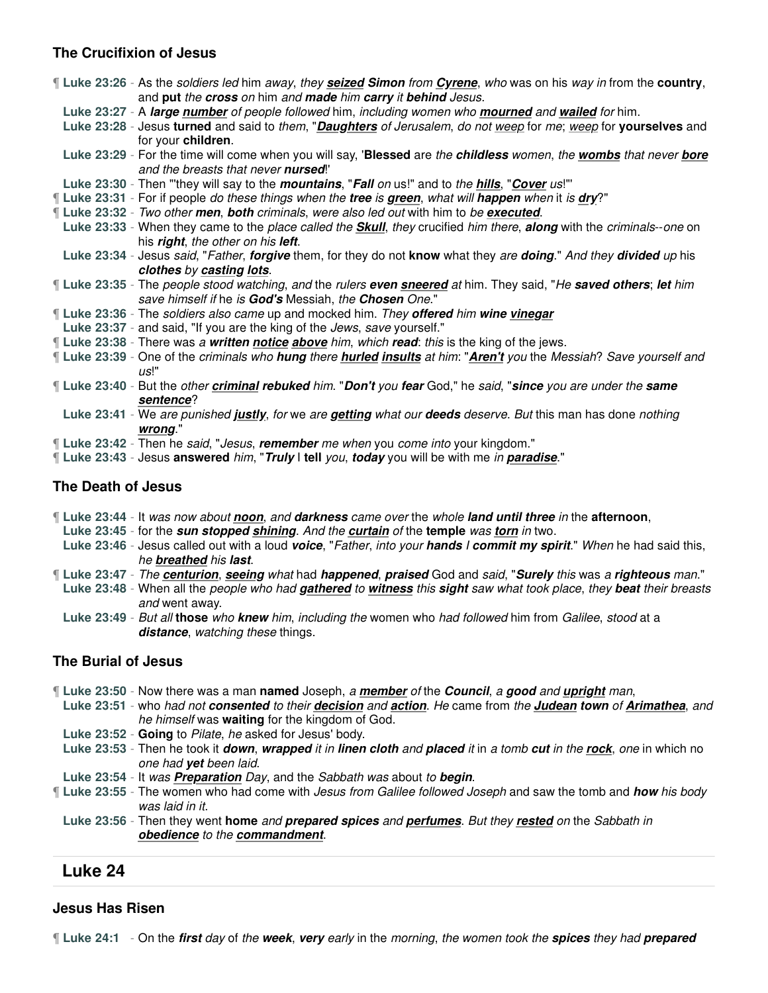## **The Crucifixion of Jesus**

¶ **Luke 23:26** - As the soldiers led him away, they **seized Simon** from **Cyrene**, who was on his way in from the **country**, and **put** the **cross** on him and **made** him **carry** it **behind** Jesus. **Luke 23:27** - A **large number** of people followed him, including women who **mourned** and **wailed** for him. **Luke 23:28** - Jesus **turned** and said to them, "**Daughters** of Jerusalem, do not weep for me; weep for **yourselves** and for your **children**. **Luke 23:29** - For the time will come when you will say, '**Blessed** are the **childless** women, the **wombs** that never **bore** and the breasts that never **nursed**!' **Luke 23:30** - Then "'they will say to the **mountains**, "**Fall** on us!" and to the **hills**, "**Cover** us!"' ¶ **Luke 23:31** - For if people do these things when the **tree** is **green**, what will **happen** when it is **dry**?" ¶ **Luke 23:32** - Two other **men**, **both** criminals, were also led out with him to be **executed**. **Luke 23:33** - When they came to the place called the **Skull**, they crucified him there, **along** with the criminals--one on his **right**, the other on his **left**. **Luke 23:34** - Jesus said, "Father, **forgive** them, for they do not **know** what they are **doing**." And they **divided** up his **clothes** by **casting lots**. ¶ **Luke 23:35** - The people stood watching, and the rulers **even sneered** at him. They said, "He **saved others**; **let** him save himself if he is **God's** Messiah, the **Chosen** One." ¶ **Luke 23:36** - The soldiers also came up and mocked him. They **offered** him **wine vinegar Luke 23:37** - and said, "If you are the king of the Jews, save yourself." ¶ **Luke 23:38** - There was a **written notice above** him, which **read**: this is the king of the jews. ¶ **Luke 23:39** - One of the criminals who **hung** there **hurled insults** at him: "**Aren't** you the Messiah? Save yourself and us!" ¶ **Luke 23:40** - But the other **criminal rebuked** him. "**Don't** you **fear** God," he said, "**since** you are under the **same sentence**? **Luke 23:41** - We are punished **justly**, for we are **getting** what our **deeds** deserve. But this man has done nothing **wrong**."

- ¶ **Luke 23:42** Then he said, "Jesus, **remember** me when you come into your kingdom."
- ¶ **Luke 23:43** Jesus **answered** him, "**Truly** I **tell** you, **today** you will be with me in **paradise**."

### **The Death of Jesus**

- ¶ **Luke 23:44** It was now about **noon**, and **darkness** came over the whole **land until three** in the **afternoon**,
- **Luke 23:45** for the **sun stopped shining**. And the **curtain** of the **temple** was **torn** in two.
- **Luke 23:46** Jesus called out with a loud **voice**, "Father, into your **hands** I **commit my spirit**." When he had said this, he **breathed** his **last**.
- ¶ **Luke 23:47** The **centurion**, **seeing** what had **happened**, **praised** God and said, "**Surely** this was a **righteous** man."
- **Luke 23:48** When all the people who had **gathered** to **witness** this **sight** saw what took place, they **beat** their breasts and went away.
- **Luke 23:49** But all **those** who **knew** him, including the women who had followed him from Galilee, stood at a **distance**, watching these things.

### **The Burial of Jesus**

- ¶ **Luke 23:50** Now there was a man **named** Joseph, a **member** of the **Council**, a **good** and **upright** man,
- **Luke 23:51** who had not **consented** to their **decision** and **action**. He came from the **Judean town** of **Arimathea**, and he himself was **waiting** for the kingdom of God.
- **Luke 23:52 Going** to Pilate, he asked for Jesus' body.
- **Luke 23:53** Then he took it **down**, **wrapped** it in **linen cloth** and **placed** it in a tomb **cut** in the **rock**, one in which no one had **yet** been laid.
- **Luke 23:54** It was **Preparation** Day, and the Sabbath was about to **begin**.
- ¶ **Luke 23:55** The women who had come with Jesus from Galilee followed Joseph and saw the tomb and **how** his body was laid in it.
	- **Luke 23:56** Then they went **home** and **prepared spices** and **perfumes**. But they **rested** on the Sabbath in **obedience** to the **commandment**.

# **Luke 24**

### **Jesus Has Risen**

¶ **Luke 24:1** - On the **first** day of the **week**, **very** early in the morning, the women took the **spices** they had **prepared**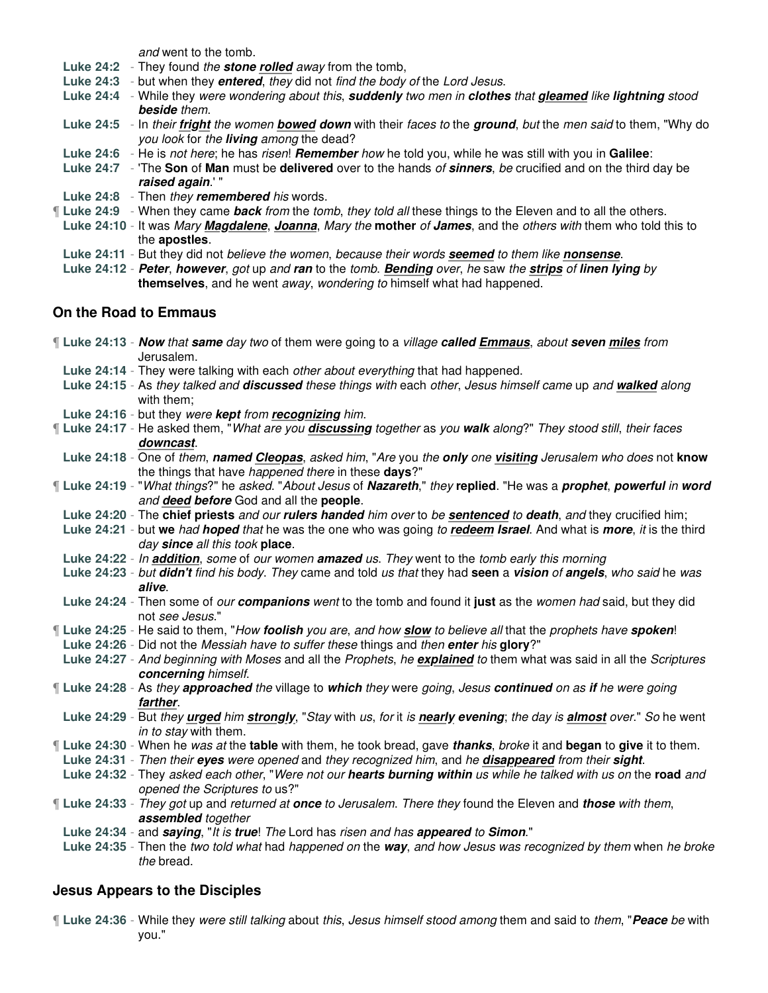and went to the tomb.

- **Luke 24:2** They found the **stone rolled** away from the tomb,
- **Luke 24:3** but when they **entered**, they did not find the body of the Lord Jesus.
- **Luke 24:4** While they were wondering about this, **suddenly** two men in **clothes** that **gleamed** like **lightning** stood **beside** them.
- **Luke 24:5** In their **fright** the women **bowed down** with their faces to the **ground**, but the men said to them, "Why do you look for the **living** among the dead?
- **Luke 24:6** He is not here; he has risen! **Remember** how he told you, while he was still with you in **Galilee**:
- **Luke 24:7** 'The **Son** of **Man** must be **delivered** over to the hands of **sinners**, be crucified and on the third day be **raised again**.' "
- **Luke 24:8** Then they **remembered** his words.
- ¶ **Luke 24:9** When they came **back** from the tomb, they told all these things to the Eleven and to all the others.
- **Luke 24:10** It was Mary **Magdalene**, **Joanna**, Mary the **mother** of **James**, and the others with them who told this to the **apostles**.
- **Luke 24:11** But they did not believe the women, because their words **seemed** to them like **nonsense**.
- **Luke 24:12 Peter**, **however**, got up and **ran** to the tomb. **Bending** over, he saw the **strips** of **linen lying** by **themselves**, and he went away, wondering to himself what had happened.

## **On the Road to Emmaus**

|  | ¶ Luke 24:13 - Now that same day two of them were going to a village called Emmaus, about seven miles from<br>Jerusalem.    |
|--|-----------------------------------------------------------------------------------------------------------------------------|
|  | Luke 24:14 - They were talking with each other about everything that had happened.                                          |
|  | Luke 24:15 - As they talked and discussed these things with each other, Jesus himself came up and walked along              |
|  | with them;                                                                                                                  |
|  | Luke 24:16 - but they were kept from recognizing him.                                                                       |
|  | Luke 24:17 - He asked them, "What are you discussing together as you walk along?" They stood still, their faces             |
|  | downcast.                                                                                                                   |
|  | Luke 24:18 - One of them, named Cleopas, asked him, "Are you the only one visiting Jerusalem who does not know              |
|  | the things that have happened there in these days?"                                                                         |
|  | Luke 24:19 - "What things?" he asked. "About Jesus of Nazareth," they replied. "He was a prophet, powerful in word          |
|  | and deed before God and all the people.                                                                                     |
|  | Luke 24:20 - The chief priests and our rulers handed him over to be sentenced to death, and they crucified him;             |
|  | Luke 24:21 - but we had hoped that he was the one who was going to redeem Israel. And what is more, it is the third         |
|  | day since all this took place.                                                                                              |
|  | Luke 24:22 - In addition, some of our women amazed us. They went to the tomb early this morning                             |
|  | Luke 24:23 - but didn't find his body. They came and told us that they had seen a vision of angels, who said he was         |
|  | alive.                                                                                                                      |
|  | Luke 24:24 - Then some of our companions went to the tomb and found it just as the women had said, but they did             |
|  | not see Jesus."                                                                                                             |
|  | [Luke 24:25 - He said to them, "How foolish you are, and how slow to believe all that the prophets have spoken!             |
|  | Luke 24:26 - Did not the Messiah have to suffer these things and then enter his glory?"                                     |
|  | Luke 24:27 - And beginning with Moses and all the Prophets, he explained to them what was said in all the Scriptures        |
|  | concerning himself.                                                                                                         |
|  | If Luke 24:28 - As they approached the village to which they were going, Jesus continued on as if he were going<br>farther. |
|  | Luke 24:29 - But they urged him strongly, "Stay with us, for it is nearly evening; the day is almost over." So he went      |
|  | in to stay with them.                                                                                                       |
|  | If Luke 24:30 - When he was at the table with them, he took bread, gave thanks, broke it and began to give it to them.      |
|  | Luke 24:31 - Then their eyes were opened and they recognized him, and he disappeared from their sight.                      |
|  | Luke 24:32 - They asked each other, "Were not our hearts burning within us while he talked with us on the road and          |
|  | opened the Scriptures to us?"                                                                                               |
|  | [Luke 24:33 - They got up and returned at once to Jerusalem. There they found the Eleven and those with them,               |
|  | assembled together                                                                                                          |
|  | Luke 24:34 - and saying, "It is true! The Lord has risen and has appeared to Simon."                                        |
|  | Luke 24:35 - Then the two told what had happened on the way, and how Jesus was recognized by them when he broke             |
|  | the bread.                                                                                                                  |
|  |                                                                                                                             |
|  |                                                                                                                             |

# **Jesus Appears to the Disciples**

¶ **Luke 24:36** - While they were still talking about this, Jesus himself stood among them and said to them, "**Peace** be with you."